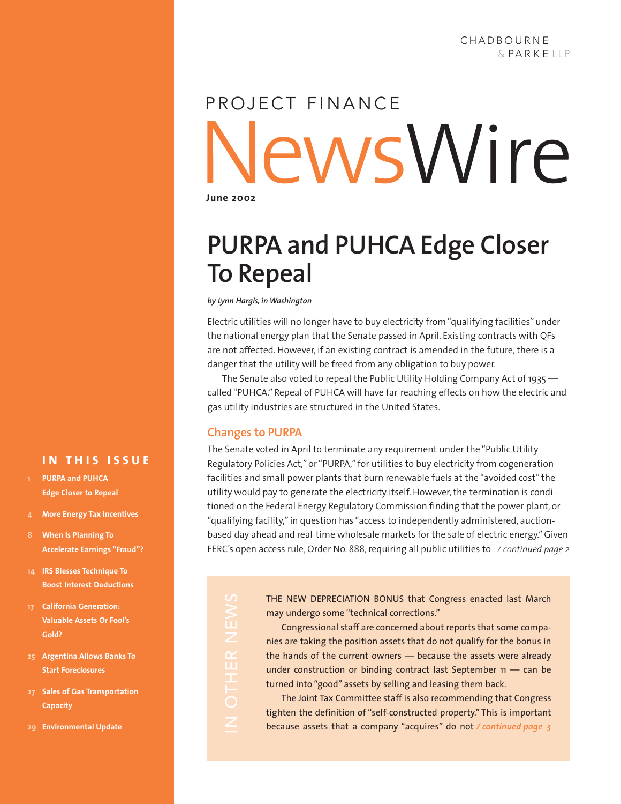# News Wire **June 2002** PROJECT FINANCE

# **PURPA and PUHCA Edge Closer To Repeal**

*by Lynn Hargis, in Washington*

Electric utilities will no longer have to buy electricity from "qualifying facilities" under the national energy plan that the Senate passed in April. Existing contracts with QFs are not affected. However, if an existing contract is amended in the future, there is a danger that the utility will be freed from any obligation to buy power.

The Senate also voted to repeal the Public Utility Holding Company Act of 1935 called "PUHCA." Repeal of PUHCA will have far-reaching effects on how the electric and gas utility industries are structured in the United States.

### **Changes to PURPA**

The Senate voted in April to terminate any requirement under the "Public Utility Regulatory Policies Act," or "PURPA," for utilities to buy electricity from cogeneration facilities and small power plants that burn renewable fuels at the "avoided cost" the utility would pay to generate the electricity itself. However, the termination is conditioned on the Federal Energy Regulatory Commission finding that the power plant, or "qualifying facility," in question has "access to independently administered, auctionbased day ahead and real-time wholesale markets for the sale of electric energy." Given FERC's open access rule, Order No. 888, requiring all public utilities to */ continued page 2*

**14 IRS Blesses Technique To Boost Interest Deductions**

**4 More Energy Tax Incentives**

**IN THIS ISSUE**

**Accelerate Earnings "Fraud"?**

**1 PURPA and PUHCA Edge Closer to Repeal**

**8 When Is Planning To**

- **17 California Generation: Valuable Assets Or Fool's Gold?**
- **25 Argentina Allows Banks To Start Foreclosures**
- **27 Sales of Gas Transportation Capacity**
- **29 Environmental Update**

THE NEW DEPRECIATION BONUS that Congress enacted last March may undergo some "technical corrections."

Congressional staff are concerned about reports that some companies are taking the position assets that do not qualify for the bonus in the hands of the current owners — because the assets were already under construction or binding contract last September 11 — can be turned into "good" assets by selling and leasing them back.

The Joint Tax Committee staff is also recommending that Congress tighten the definition of "self-constructed property." This is important because assets that a company "acquires" do not */ continued page 3*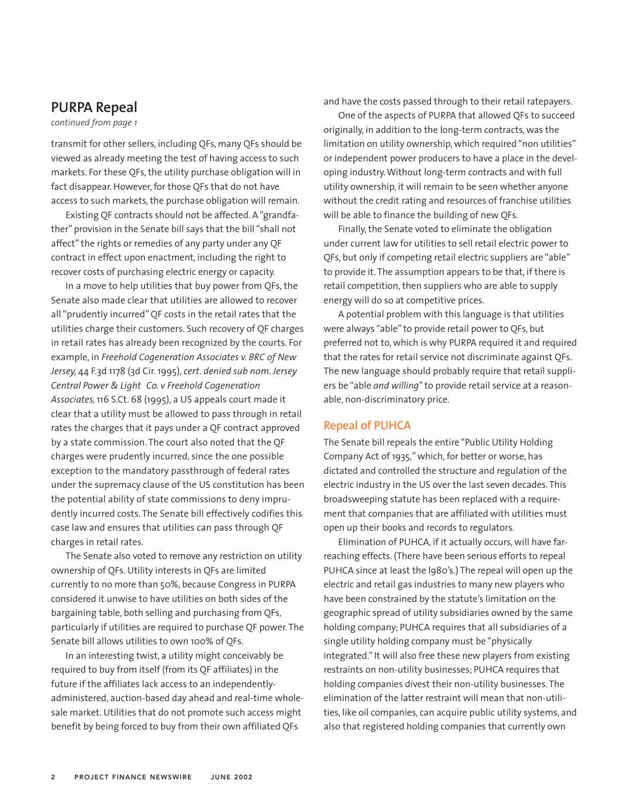### **PURPA Repeal**

*continued from page 1*

transmit for other sellers, including QFs, many QFs should be viewed as already meeting the test of having access to such markets. For these QFs, the utility purchase obligation will in fact disappear. However, for those QFs that do not have access to such markets, the purchase obligation will remain.

Existing QF contracts should not be affected. A "grandfather" provision in the Senate bill says that the bill "shall not affect" the rights or remedies of any party under any QF contract in effect upon enactment, including the right to recover costs of purchasing electric energy or capacity.

In a move to help utilities that buy power from QFs, the Senate also made clear that utilities are allowed to recover all "prudently incurred" QF costs in the retail rates that the utilities charge their customers. Such recovery of QF charges in retail rates has already been recognized by the courts. For example, in *Freehold Cogeneration Associates v. BRC of New Jersey,* 44 F.3d 1178 (3d Cir. 1995), *cert. denied sub nom. Jersey Central Power & Light Co. v Freehold Cogeneration Associates,* 116 S.Ct. 68 (1995), a US appeals court made it clear that a utility must be allowed to pass through in retail rates the charges that it pays under a QF contract approved by a state commission. The court also noted that the QF charges were prudently incurred, since the one possible exception to the mandatory passthrough of federal rates under the supremacy clause of the US constitution has been the potential ability of state commissions to deny imprudently incurred costs. The Senate bill effectively codifies this case law and ensures that utilities can pass through QF charges in retail rates.

The Senate also voted to remove any restriction on utility ownership of QFs. Utility interests in QFs are limited currently to no more than 50%, because Congress in PURPA considered it unwise to have utilities on both sides of the bargaining table, both selling and purchasing from QFs, particularly if utilities are required to purchase QF power. The Senate bill allows utilities to own 100% of QFs.

In an interesting twist, a utility might conceivably be required to buy from itself (from its QF affiliates) in the future if the affiliates lack access to an independentlyadministered, auction-based day ahead and real-time wholesale market. Utilities that do not promote such access might benefit by being forced to buy from their own affiliated QFs

and have the costs passed through to their retail ratepayers.

One of the aspects of PURPA that allowed QFs to succeed originally, in addition to the long-term contracts, was the limitation on utility ownership, which required "non utilities" or independent power producers to have a place in the developing industry. Without long-term contracts and with full utility ownership, it will remain to be seen whether anyone without the credit rating and resources of franchise utilities will be able to finance the building of new QFs.

Finally, the Senate voted to eliminate the obligation under current law for utilities to sell retail electric power to QFs, but only if competing retail electric suppliers are "able" to provide it. The assumption appears to be that, if there is retail competition, then suppliers who are able to supply energy will do so at competitive prices.

A potential problem with this language is that utilities were always "able" to provide retail power to QFs, but preferred not to, which is why PURPA required it and required that the rates for retail service not discriminate against QFs. The new language should probably require that retail suppliers be "able *and willing*" to provide retail service at a reasonable, non-discriminatory price.

#### **Repeal of PUHCA**

The Senate bill repeals the entire "Public Utility Holding Company Act of 1935," which, for better or worse, has dictated and controlled the structure and regulation of the electric industry in the US over the last seven decades. This broadsweeping statute has been replaced with a requirement that companies that are affiliated with utilities must open up their books and records to regulators.

Elimination of PUHCA, if it actually occurs, will have farreaching effects. (There have been serious efforts to repeal PUHCA since at least the l980's.) The repeal will open up the electric and retail gas industries to many new players who have been constrained by the statute's limitation on the geographic spread of utility subsidiaries owned by the same holding company; PUHCA requires that all subsidiaries of a single utility holding company must be "physically integrated." It will also free these new players from existing restraints on non-utility businesses; PUHCA requires that holding companies divest their non-utility businesses. The elimination of the latter restraint will mean that non-utilities, like oil companies, can acquire public utility systems, and also that registered holding companies that currently own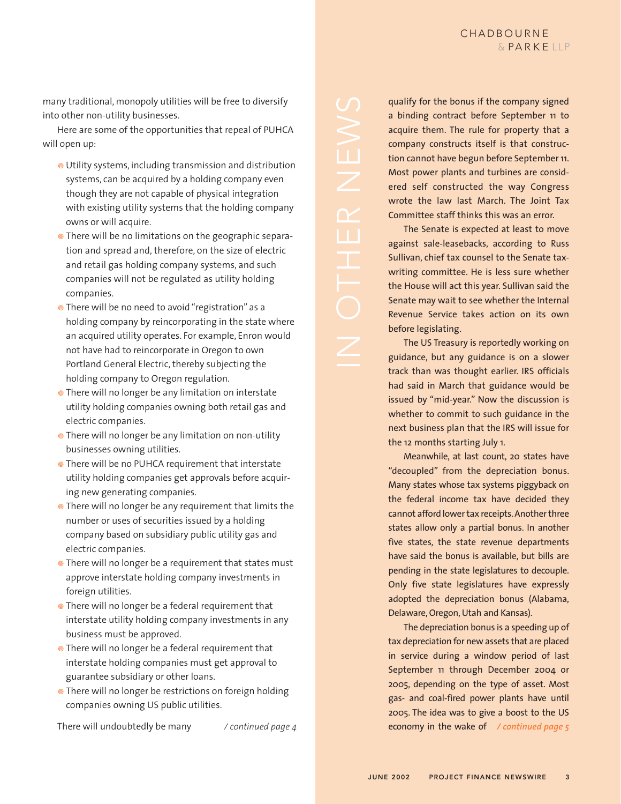many traditional, monopoly utilities will be free to diversify into other non-utility businesses.

Here are some of the opportunities that repeal of PUHCA will open up:

- Utility systems, including transmission and distribution systems, can be acquired by a holding company even though they are not capable of physical integration with existing utility systems that the holding company owns or will acquire.
- There will be no limitations on the geographic separation and spread and, therefore, on the size of electric and retail gas holding company systems, and such companies will not be regulated as utility holding companies.
- **•** There will be no need to avoid "registration" as a holding company by reincorporating in the state where an acquired utility operates. For example, Enron would not have had to reincorporate in Oregon to own Portland General Electric, thereby subjecting the holding company to Oregon regulation.
- **•** There will no longer be any limitation on interstate utility holding companies owning both retail gas and electric companies.
- **•** There will no longer be any limitation on non-utility businesses owning utilities.
- **There will be no PUHCA requirement that interstate** utility holding companies get approvals before acquiring new generating companies.
- There will no longer be any requirement that limits the number or uses of securities issued by a holding company based on subsidiary public utility gas and electric companies.
- **•** There will no longer be a requirement that states must approve interstate holding company investments in foreign utilities.
- **•** There will no longer be a federal requirement that interstate utility holding company investments in any business must be approved.
- **•** There will no longer be a federal requirement that interstate holding companies must get approval to guarantee subsidiary or other loans.
- There will no longer be restrictions on foreign holding companies owning US public utilities.

There will undoubtedly be many */ continued page 4*

qualify for the bonus if the company signed a binding contract before September 11 to acquire them. The rule for property that a company constructs itself is that construction cannot have begun before September 11. Most power plants and turbines are considered self constructed the way Congress wrote the law last March. The Joint Tax Committee staff thinks this was an error. The Senate is expected at least to move

 $\overline{\mathbf{u}}$ 

against sale-leasebacks, according to Russ Sullivan, chief tax counsel to the Senate taxwriting committee. He is less sure whether the House will act this year. Sullivan said the Senate may wait to see whether the Internal Revenue Service takes action on its own before legislating.

The US Treasury is reportedly working on guidance, but any guidance is on a slower track than was thought earlier. IRS officials had said in March that guidance would be issued by "mid-year." Now the discussion is whether to commit to such guidance in the next business plan that the IRS will issue for the 12 months starting July 1.

Meanwhile, at last count, 20 states have "decoupled" from the depreciation bonus. Many states whose tax systems piggyback on the federal income tax have decided they cannot afford lower tax receipts. Another three states allow only a partial bonus. In another five states, the state revenue departments have said the bonus is available, but bills are pending in the state legislatures to decouple. Only five state legislatures have expressly adopted the depreciation bonus (Alabama, Delaware, Oregon, Utah and Kansas).

The depreciation bonus is a speeding up of tax depreciation for new assets that are placed in service during a window period of last September 11 through December 2004 or 2005, depending on the type of asset. Most gas- and coal-fired power plants have until 2005. The idea was to give a boost to the US economy in the wake of */ continued page 5*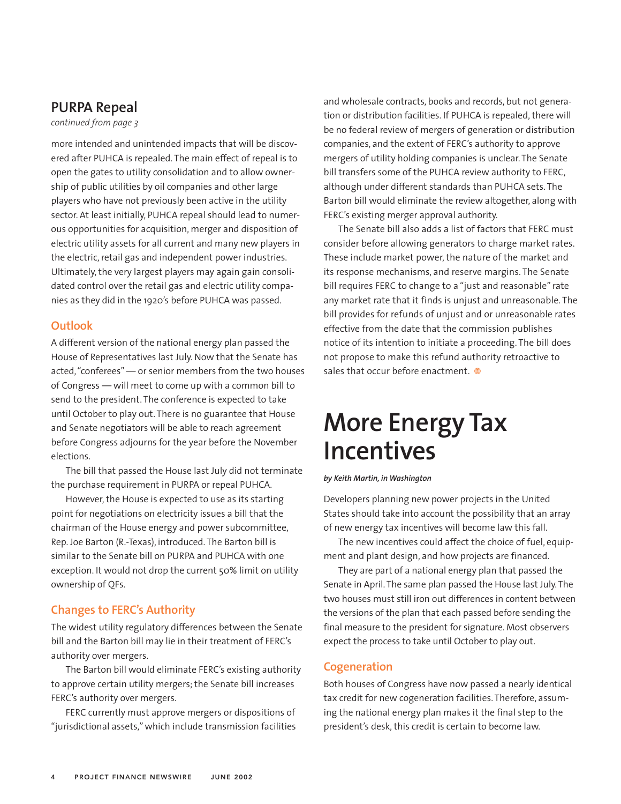## **PURPA Repeal**

*continued from page 3*

more intended and unintended impacts that will be discovered after PUHCA is repealed. The main effect of repeal is to open the gates to utility consolidation and to allow ownership of public utilities by oil companies and other large players who have not previously been active in the utility sector. At least initially, PUHCA repeal should lead to numerous opportunities for acquisition, merger and disposition of electric utility assets for all current and many new players in the electric, retail gas and independent power industries. Ultimately, the very largest players may again gain consolidated control over the retail gas and electric utility companies as they did in the 1920's before PUHCA was passed.

#### **Outlook**

A different version of the national energy plan passed the House of Representatives last July. Now that the Senate has acted,"conferees" — or senior members from the two houses of Congress — will meet to come up with a common bill to send to the president. The conference is expected to take until October to play out. There is no guarantee that House and Senate negotiators will be able to reach agreement before Congress adjourns for the year before the November elections.

The bill that passed the House last July did not terminate the purchase requirement in PURPA or repeal PUHCA.

However, the House is expected to use as its starting point for negotiations on electricity issues a bill that the chairman of the House energy and power subcommittee, Rep. Joe Barton (R.-Texas), introduced. The Barton bill is similar to the Senate bill on PURPA and PUHCA with one exception. It would not drop the current 50% limit on utility ownership of QFs.

### **Changes to FERC's Authority**

The widest utility regulatory differences between the Senate bill and the Barton bill may lie in their treatment of FERC's authority over mergers.

The Barton bill would eliminate FERC's existing authority to approve certain utility mergers; the Senate bill increases FERC's authority over mergers.

FERC currently must approve mergers or dispositions of "jurisdictional assets," which include transmission facilities and wholesale contracts, books and records, but not generation or distribution facilities. If PUHCA is repealed, there will be no federal review of mergers of generation or distribution companies, and the extent of FERC's authority to approve mergers of utility holding companies is unclear. The Senate bill transfers some of the PUHCA review authority to FERC, although under different standards than PUHCA sets. The Barton bill would eliminate the review altogether, along with FERC's existing merger approval authority.

The Senate bill also adds a list of factors that FERC must consider before allowing generators to charge market rates. These include market power, the nature of the market and its response mechanisms, and reserve margins. The Senate bill requires FERC to change to a "just and reasonable" rate any market rate that it finds is unjust and unreasonable. The bill provides for refunds of unjust and or unreasonable rates effective from the date that the commission publishes notice of its intention to initiate a proceeding. The bill does not propose to make this refund authority retroactive to sales that occur before enactment.  $\circledcirc$ 

# **More Energy Tax Incentives**

#### *by Keith Martin, in Washington*

Developers planning new power projects in the United States should take into account the possibility that an array of new energy tax incentives will become law this fall.

The new incentives could affect the choice of fuel, equipment and plant design, and how projects are financed.

They are part of a national energy plan that passed the Senate in April. The same plan passed the House last July. The two houses must still iron out differences in content between the versions of the plan that each passed before sending the final measure to the president for signature. Most observers expect the process to take until October to play out.

#### **Cogeneration**

Both houses of Congress have now passed a nearly identical tax credit for new cogeneration facilities. Therefore, assuming the national energy plan makes it the final step to the president's desk, this credit is certain to become law.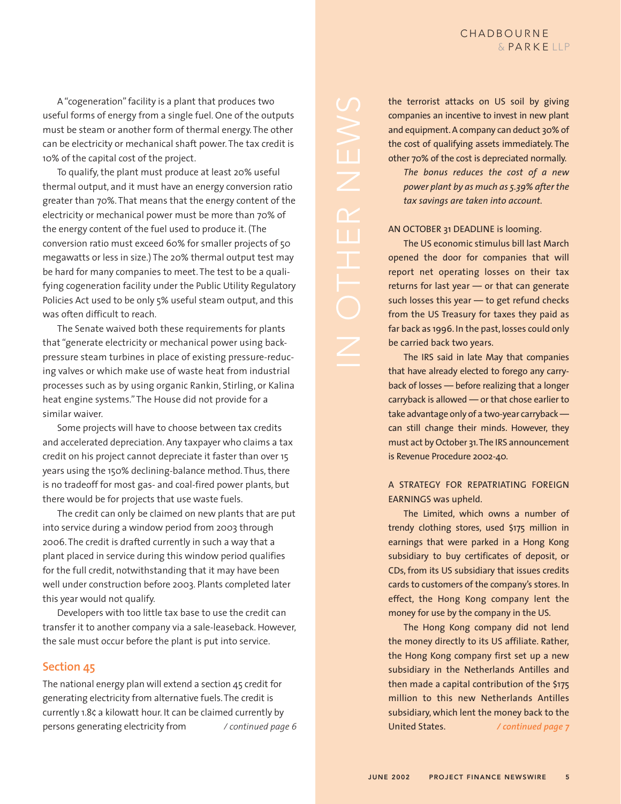A "cogeneration" facility is a plant that produces two useful forms of energy from a single fuel. One of the outputs must be steam or another form of thermal energy. The other can be electricity or mechanical shaft power. The tax credit is 10% of the capital cost of the project.

To qualify, the plant must produce at least 20% useful thermal output, and it must have an energy conversion ratio greater than 70%. That means that the energy content of the electricity or mechanical power must be more than 70% of the energy content of the fuel used to produce it. (The conversion ratio must exceed 60% for smaller projects of 50 megawatts or less in size.) The 20% thermal output test may be hard for many companies to meet. The test to be a qualifying cogeneration facility under the Public Utility Regulatory Policies Act used to be only 5% useful steam output, and this was often difficult to reach.

The Senate waived both these requirements for plants that "generate electricity or mechanical power using backpressure steam turbines in place of existing pressure-reducing valves or which make use of waste heat from industrial processes such as by using organic Rankin, Stirling, or Kalina heat engine systems." The House did not provide for a similar waiver.

Some projects will have to choose between tax credits and accelerated depreciation. Any taxpayer who claims a tax credit on his project cannot depreciate it faster than over 15 years using the 150% declining-balance method. Thus, there is no tradeoff for most gas- and coal-fired power plants, but there would be for projects that use waste fuels.

The credit can only be claimed on new plants that are put into service during a window period from 2003 through 2006. The credit is drafted currently in such a way that a plant placed in service during this window period qualifies for the full credit, notwithstanding that it may have been well under construction before 2003. Plants completed later this year would not qualify.

Developers with too little tax base to use the credit can transfer it to another company via a sale-leaseback. However, the sale must occur before the plant is put into service.

#### **Section 45**

The national energy plan will extend a section 45 credit for generating electricity from alternative fuels. The credit is currently 1.8¢ a kilowatt hour. It can be claimed currently by persons generating electricity from */ continued page 6* the terrorist attacks on US soil by giving companies an incentive to invest in new plant and equipment. A company can deduct 30% of the cost of qualifying assets immediately. The other 70% of the cost is depreciated normally. *The bonus reduces the cost of a new power plant by as much as 5.39% after the tax savings are taken into account.*

Ŧ

AN OCTOBER 31 DEADLINE is looming.

The US economic stimulus bill last March opened the door for companies that will report net operating losses on their tax returns for last year — or that can generate such losses this year — to get refund checks from the US Treasury for taxes they paid as far back as 1996. In the past, losses could only be carried back two years.

The IRS said in late May that companies that have already elected to forego any carryback of losses — before realizing that a longer carryback is allowed — or that chose earlier to take advantage only of a two-year carryback can still change their minds. However, they must act by October 31.The IRS announcement is Revenue Procedure 2002-40.

A STRATEGY FOR REPATRIATING FOREIGN EARNINGS was upheld.

The Limited, which owns a number of trendy clothing stores, used \$175 million in earnings that were parked in a Hong Kong subsidiary to buy certificates of deposit, or CDs, from its US subsidiary that issues credits cards to customers of the company's stores. In effect, the Hong Kong company lent the money for use by the company in the US.

The Hong Kong company did not lend the money directly to its US affiliate. Rather, the Hong Kong company first set up a new subsidiary in the Netherlands Antilles and then made a capital contribution of the \$175 million to this new Netherlands Antilles subsidiary, which lent the money back to the United States. */ continued page 7*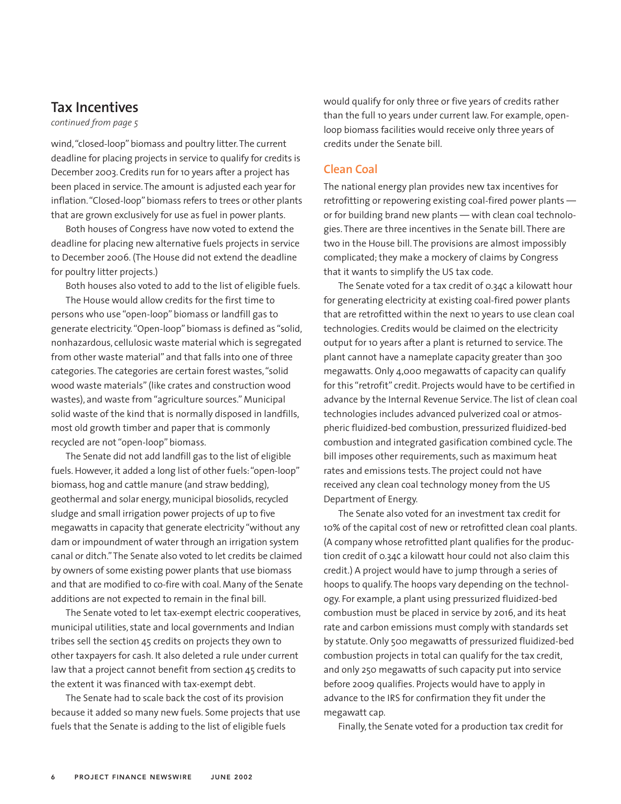## **Tax Incentives**

#### *continued from page 5*

wind,"closed-loop" biomass and poultry litter. The current deadline for placing projects in service to qualify for credits is December 2003. Credits run for 10 years after a project has been placed in service. The amount is adjusted each year for inflation."Closed-loop" biomass refers to trees or other plants that are grown exclusively for use as fuel in power plants.

Both houses of Congress have now voted to extend the deadline for placing new alternative fuels projects in service to December 2006. (The House did not extend the deadline for poultry litter projects.)

Both houses also voted to add to the list of eligible fuels. The House would allow credits for the first time to persons who use "open-loop" biomass or landfill gas to generate electricity."Open-loop" biomass is defined as "solid, nonhazardous, cellulosic waste material which is segregated from other waste material" and that falls into one of three categories. The categories are certain forest wastes,"solid wood waste materials" (like crates and construction wood wastes), and waste from "agriculture sources." Municipal solid waste of the kind that is normally disposed in landfills, most old growth timber and paper that is commonly recycled are not "open-loop" biomass.

The Senate did not add landfill gas to the list of eligible fuels. However, it added a long list of other fuels:"open-loop" biomass, hog and cattle manure (and straw bedding), geothermal and solar energy, municipal biosolids, recycled sludge and small irrigation power projects of up to five megawatts in capacity that generate electricity "without any dam or impoundment of water through an irrigation system canal or ditch."The Senate also voted to let credits be claimed by owners of some existing power plants that use biomass and that are modified to co-fire with coal. Many of the Senate additions are not expected to remain in the final bill.

The Senate voted to let tax-exempt electric cooperatives, municipal utilities, state and local governments and Indian tribes sell the section 45 credits on projects they own to other taxpayers for cash. It also deleted a rule under current law that a project cannot benefit from section 45 credits to the extent it was financed with tax-exempt debt.

The Senate had to scale back the cost of its provision because it added so many new fuels. Some projects that use fuels that the Senate is adding to the list of eligible fuels

would qualify for only three or five years of credits rather than the full 10 years under current law. For example, openloop biomass facilities would receive only three years of credits under the Senate bill.

#### **Clean Coal**

The national energy plan provides new tax incentives for retrofitting or repowering existing coal-fired power plants or for building brand new plants — with clean coal technologies. There are three incentives in the Senate bill. There are two in the House bill. The provisions are almost impossibly complicated; they make a mockery of claims by Congress that it wants to simplify the US tax code.

The Senate voted for a tax credit of 0.34¢ a kilowatt hour for generating electricity at existing coal-fired power plants that are retrofitted within the next 10 years to use clean coal technologies. Credits would be claimed on the electricity output for 10 years after a plant is returned to service. The plant cannot have a nameplate capacity greater than 300 megawatts. Only 4,000 megawatts of capacity can qualify for this "retrofit" credit. Projects would have to be certified in advance by the Internal Revenue Service. The list of clean coal technologies includes advanced pulverized coal or atmospheric fluidized-bed combustion, pressurized fluidized-bed combustion and integrated gasification combined cycle. The bill imposes other requirements, such as maximum heat rates and emissions tests. The project could not have received any clean coal technology money from the US Department of Energy.

The Senate also voted for an investment tax credit for 10% of the capital cost of new or retrofitted clean coal plants. (A company whose retrofitted plant qualifies for the production credit of 0.34¢ a kilowatt hour could not also claim this credit.) A project would have to jump through a series of hoops to qualify. The hoops vary depending on the technology. For example, a plant using pressurized fluidized-bed combustion must be placed in service by 2016, and its heat rate and carbon emissions must comply with standards set by statute. Only 500 megawatts of pressurized fluidized-bed combustion projects in total can qualify for the tax credit, and only 250 megawatts of such capacity put into service before 2009 qualifies. Projects would have to apply in advance to the IRS for confirmation they fit under the megawatt cap.

Finally, the Senate voted for a production tax credit for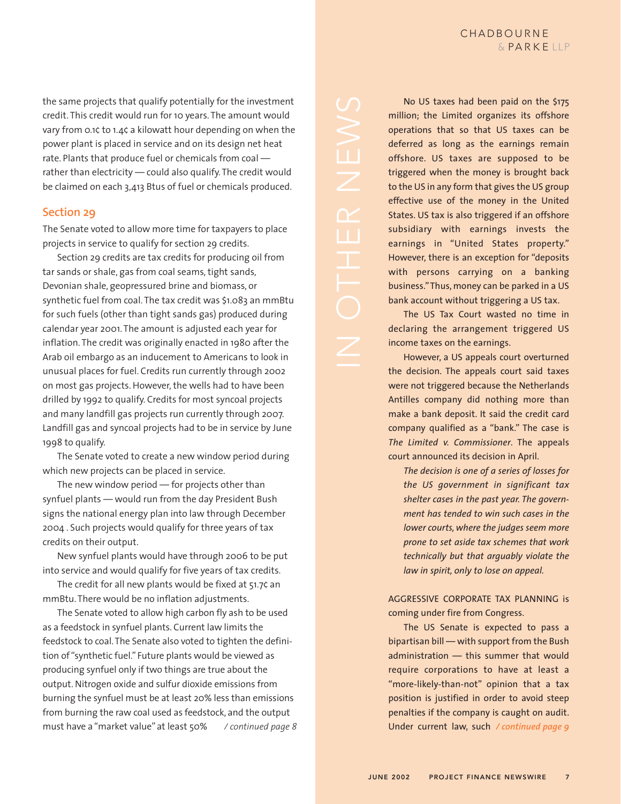the same projects that qualify potentially for the investment credit. This credit would run for 10 years. The amount would vary from 0.1¢ to 1.4¢ a kilowatt hour depending on when the power plant is placed in service and on its design net heat rate. Plants that produce fuel or chemicals from coal rather than electricity — could also qualify. The credit would be claimed on each 3,413 Btus of fuel or chemicals produced.

#### **Section 29**

The Senate voted to allow more time for taxpayers to place projects in service to qualify for section 29 credits.

Section 29 credits are tax credits for producing oil from tar sands or shale, gas from coal seams, tight sands, Devonian shale, geopressured brine and biomass, or synthetic fuel from coal. The tax credit was \$1.083 an mmBtu for such fuels (other than tight sands gas) produced during calendar year 2001. The amount is adjusted each year for inflation. The credit was originally enacted in 1980 after the Arab oil embargo as an inducement to Americans to look in unusual places for fuel. Credits run currently through 2002 on most gas projects. However, the wells had to have been drilled by 1992 to qualify. Credits for most syncoal projects and many landfill gas projects run currently through 2007. Landfill gas and syncoal projects had to be in service by June 1998 to qualify.

The Senate voted to create a new window period during which new projects can be placed in service.

The new window period — for projects other than synfuel plants — would run from the day President Bush signs the national energy plan into law through December 2004 . Such projects would qualify for three years of tax credits on their output.

New synfuel plants would have through 2006 to be put into service and would qualify for five years of tax credits.

The credit for all new plants would be fixed at 51.7¢ an mmBtu. There would be no inflation adjustments.

The Senate voted to allow high carbon fly ash to be used as a feedstock in synfuel plants. Current law limits the feedstock to coal. The Senate also voted to tighten the definition of "synthetic fuel." Future plants would be viewed as producing synfuel only if two things are true about the output. Nitrogen oxide and sulfur dioxide emissions from burning the synfuel must be at least 20% less than emissions from burning the raw coal used as feedstock, and the output must have a "market value" at least 50% */ continued page 8*

No US taxes had been paid on the \$175 million; the Limited organizes its offshore operations that so that US taxes can be deferred as long as the earnings remain offshore. US taxes are supposed to be triggered when the money is brought back to the US in any form that gives the US group effective use of the money in the United States. US tax is also triggered if an offshore subsidiary with earnings invests the earnings in "United States property." However, there is an exception for "deposits with persons carrying on a banking business."Thus, money can be parked in a US bank account without triggering a US tax.

The US Tax Court wasted no time in declaring the arrangement triggered US income taxes on the earnings.

However, a US appeals court overturned the decision. The appeals court said taxes were not triggered because the Netherlands Antilles company did nothing more than make a bank deposit. It said the credit card company qualified as a "bank." The case is *The Limited v. Commissioner*. The appeals court announced its decision in April.

*The decision is one of a series of losses for the US government in significant tax shelter cases in the past year. The government has tended to win such cases in the lower courts, where the judges seem more prone to set aside tax schemes that work technically but that arguably violate the law in spirit, only to lose on appeal.*

AGGRESSIVE CORPORATE TAX PLANNING is coming under fire from Congress.

The US Senate is expected to pass a bipartisan bill — with support from the Bush administration — this summer that would require corporations to have at least a "more-likely-than-not" opinion that a tax position is justified in order to avoid steep penalties if the company is caught on audit. Under current law, such */ continued page 9*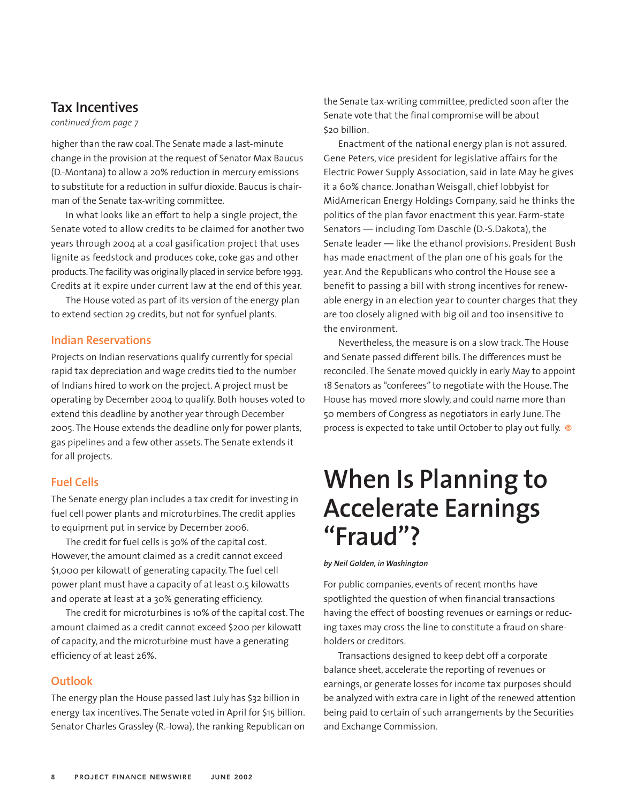## **Tax Incentives**

#### *continued from page 7*

higher than the raw coal. The Senate made a last-minute change in the provision at the request of Senator Max Baucus (D.-Montana) to allow a 20% reduction in mercury emissions to substitute for a reduction in sulfur dioxide. Baucus is chairman of the Senate tax-writing committee.

In what looks like an effort to help a single project, the Senate voted to allow credits to be claimed for another two years through 2004 at a coal gasification project that uses lignite as feedstock and produces coke, coke gas and other products.The facility was originally placed in service before 1993. Credits at it expire under current law at the end of this year.

The House voted as part of its version of the energy plan to extend section 29 credits, but not for synfuel plants.

#### **Indian Reservations**

Projects on Indian reservations qualify currently for special rapid tax depreciation and wage credits tied to the number of Indians hired to work on the project. A project must be operating by December 2004 to qualify. Both houses voted to extend this deadline by another year through December 2005. The House extends the deadline only for power plants, gas pipelines and a few other assets. The Senate extends it for all projects.

#### **Fuel Cells**

The Senate energy plan includes a tax credit for investing in fuel cell power plants and microturbines. The credit applies to equipment put in service by December 2006.

The credit for fuel cells is 30% of the capital cost. However, the amount claimed as a credit cannot exceed \$1,000 per kilowatt of generating capacity. The fuel cell power plant must have a capacity of at least 0.5 kilowatts and operate at least at a 30% generating efficiency.

The credit for microturbines is 10% of the capital cost. The amount claimed as a credit cannot exceed \$200 per kilowatt of capacity, and the microturbine must have a generating efficiency of at least 26%.

#### **Outlook**

The energy plan the House passed last July has \$32 billion in energy tax incentives. The Senate voted in April for \$15 billion. Senator Charles Grassley (R.-Iowa), the ranking Republican on the Senate tax-writing committee, predicted soon after the Senate vote that the final compromise will be about \$20 billion.

Enactment of the national energy plan is not assured. Gene Peters, vice president for legislative affairs for the Electric Power Supply Association, said in late May he gives it a 60% chance. Jonathan Weisgall, chief lobbyist for MidAmerican Energy Holdings Company, said he thinks the politics of the plan favor enactment this year. Farm-state Senators — including Tom Daschle (D.-S.Dakota), the Senate leader — like the ethanol provisions. President Bush has made enactment of the plan one of his goals for the year. And the Republicans who control the House see a benefit to passing a bill with strong incentives for renewable energy in an election year to counter charges that they are too closely aligned with big oil and too insensitive to the environment.

Nevertheless, the measure is on a slow track. The House and Senate passed different bills. The differences must be reconciled. The Senate moved quickly in early May to appoint 18 Senators as "conferees" to negotiate with the House. The House has moved more slowly, and could name more than 50 members of Congress as negotiators in early June. The process is expected to take until October to play out fully.

# **When Is Planning to Accelerate Earnings "Fraud"?**

*by Neil Golden, in Washington*

For public companies, events of recent months have spotlighted the question of when financial transactions having the effect of boosting revenues or earnings or reducing taxes may cross the line to constitute a fraud on shareholders or creditors.

Transactions designed to keep debt off a corporate balance sheet, accelerate the reporting of revenues or earnings, or generate losses for income tax purposes should be analyzed with extra care in light of the renewed attention being paid to certain of such arrangements by the Securities and Exchange Commission.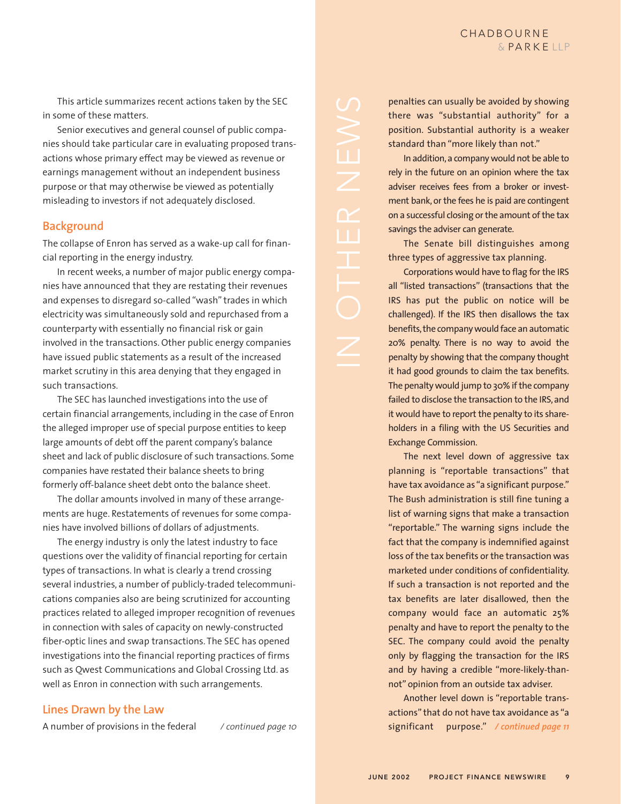This article summarizes recent actions taken by the SEC in some of these matters.

Senior executives and general counsel of public companies should take particular care in evaluating proposed transactions whose primary effect may be viewed as revenue or earnings management without an independent business purpose or that may otherwise be viewed as potentially misleading to investors if not adequately disclosed.

#### **Background**

The collapse of Enron has served as a wake-up call for financial reporting in the energy industry.

In recent weeks, a number of major public energy companies have announced that they are restating their revenues and expenses to disregard so-called "wash" trades in which electricity was simultaneously sold and repurchased from a counterparty with essentially no financial risk or gain involved in the transactions. Other public energy companies have issued public statements as a result of the increased market scrutiny in this area denying that they engaged in such transactions.

The SEC has launched investigations into the use of certain financial arrangements, including in the case of Enron the alleged improper use of special purpose entities to keep large amounts of debt off the parent company's balance sheet and lack of public disclosure of such transactions. Some companies have restated their balance sheets to bring formerly off-balance sheet debt onto the balance sheet.

The dollar amounts involved in many of these arrangements are huge. Restatements of revenues for some companies have involved billions of dollars of adjustments.

The energy industry is only the latest industry to face questions over the validity of financial reporting for certain types of transactions. In what is clearly a trend crossing several industries, a number of publicly-traded telecommunications companies also are being scrutinized for accounting practices related to alleged improper recognition of revenues in connection with sales of capacity on newly-constructed fiber-optic lines and swap transactions. The SEC has opened investigations into the financial reporting practices of firms such as Qwest Communications and Global Crossing Ltd. as well as Enron in connection with such arrangements.

#### **Lines Drawn by the Law**

A number of provisions in the federal */ continued page 10*

penalties can usually be avoided by showing there was "substantial authority" for a position. Substantial authority is a weaker standard than "more likely than not."

In addition,a company would not be able to rely in the future on an opinion where the tax adviser receives fees from a broker or investment bank, or the fees he is paid are contingent on a successful closing or the amount of the tax savings the adviser can generate.

The Senate bill distinguishes among three types of aggressive tax planning.

Corporations would have to flag for the IRS all "listed transactions" (transactions that the IRS has put the public on notice will be challenged). If the IRS then disallows the tax benefits, the company would face an automatic 20% penalty. There is no way to avoid the penalty by showing that the company thought it had good grounds to claim the tax benefits. The penalty would jump to 30% if the company failed to disclose the transaction to the IRS, and it would have to report the penalty to its shareholders in a filing with the US Securities and Exchange Commission.

The next level down of aggressive tax planning is "reportable transactions" that have tax avoidance as "a significant purpose." The Bush administration is still fine tuning a list of warning signs that make a transaction "reportable." The warning signs include the fact that the company is indemnified against loss of the tax benefits or the transaction was marketed under conditions of confidentiality. If such a transaction is not reported and the tax benefits are later disallowed, then the company would face an automatic 25% penalty and have to report the penalty to the SEC. The company could avoid the penalty only by flagging the transaction for the IRS and by having a credible "more-likely-thannot" opinion from an outside tax adviser.

Another level down is "reportable transactions" that do not have tax avoidance as "a significant purpose." */ continued page 11*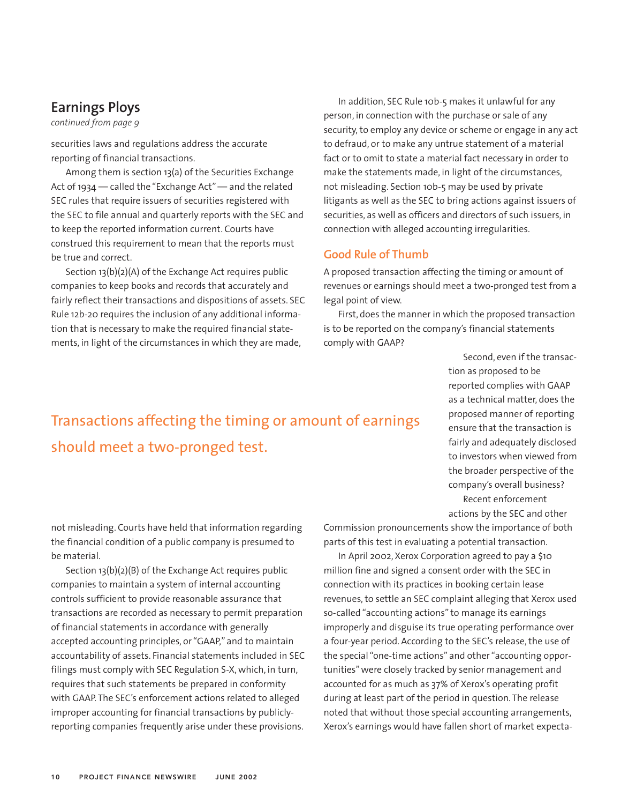## **Earnings Ploys**

*continued from page 9*

securities laws and regulations address the accurate reporting of financial transactions.

Among them is section 13(a) of the Securities Exchange Act of 1934 — called the "Exchange Act" — and the related SEC rules that require issuers of securities registered with the SEC to file annual and quarterly reports with the SEC and to keep the reported information current. Courts have construed this requirement to mean that the reports must be true and correct.

Section 13(b)(2)(A) of the Exchange Act requires public companies to keep books and records that accurately and fairly reflect their transactions and dispositions of assets. SEC Rule 12b-20 requires the inclusion of any additional information that is necessary to make the required financial statements, in light of the circumstances in which they are made,

In addition, SEC Rule 10b-5 makes it unlawful for any person, in connection with the purchase or sale of any security, to employ any device or scheme or engage in any act to defraud, or to make any untrue statement of a material fact or to omit to state a material fact necessary in order to make the statements made, in light of the circumstances, not misleading. Section 10b-5 may be used by private litigants as well as the SEC to bring actions against issuers of securities, as well as officers and directors of such issuers, in connection with alleged accounting irregularities.

#### **Good Rule of Thumb**

A proposed transaction affecting the timing or amount of revenues or earnings should meet a two-pronged test from a legal point of view.

First, does the manner in which the proposed transaction is to be reported on the company's financial statements comply with GAAP?

> Second, even if the transaction as proposed to be reported complies with GAAP as a technical matter, does the proposed manner of reporting ensure that the transaction is fairly and adequately disclosed to investors when viewed from the broader perspective of the company's overall business? Recent enforcement actions by the SEC and other

Transactions affecting the timing or amount of earnings should meet a two-pronged test.

not misleading. Courts have held that information regarding the financial condition of a public company is presumed to be material.

Section 13(b)(2)(B) of the Exchange Act requires public companies to maintain a system of internal accounting controls sufficient to provide reasonable assurance that transactions are recorded as necessary to permit preparation of financial statements in accordance with generally accepted accounting principles, or "GAAP," and to maintain accountability of assets. Financial statements included in SEC filings must comply with SEC Regulation S-X, which, in turn, requires that such statements be prepared in conformity with GAAP. The SEC's enforcement actions related to alleged improper accounting for financial transactions by publiclyreporting companies frequently arise under these provisions.

Commission pronouncements show the importance of both parts of this test in evaluating a potential transaction.

In April 2002, Xerox Corporation agreed to pay a \$10 million fine and signed a consent order with the SEC in connection with its practices in booking certain lease revenues, to settle an SEC complaint alleging that Xerox used so-called "accounting actions" to manage its earnings improperly and disguise its true operating performance over a four-year period. According to the SEC's release, the use of the special "one-time actions" and other "accounting opportunities" were closely tracked by senior management and accounted for as much as 37% of Xerox's operating profit during at least part of the period in question. The release noted that without those special accounting arrangements, Xerox's earnings would have fallen short of market expecta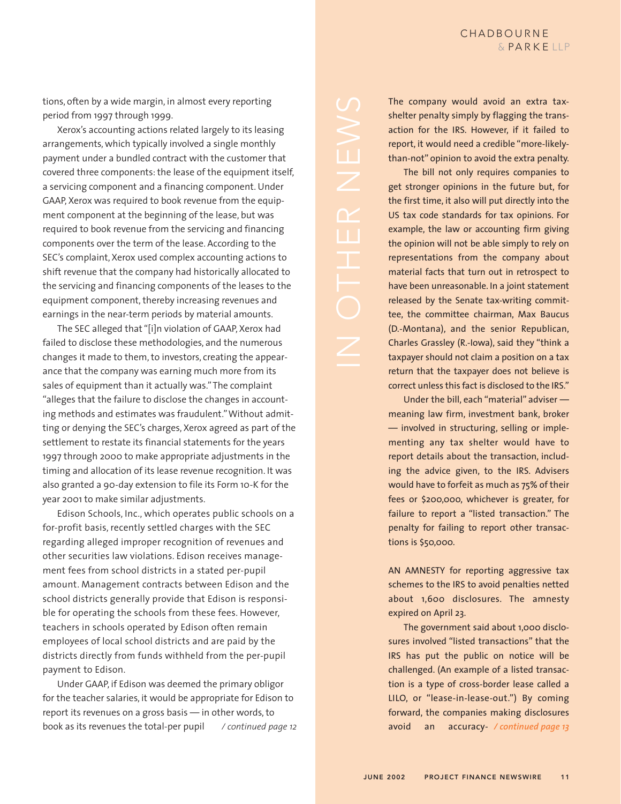tions, often by a wide margin, in almost every reporting period from 1997 through 1999.

Xerox's accounting actions related largely to its leasing arrangements, which typically involved a single monthly payment under a bundled contract with the customer that covered three components: the lease of the equipment itself, a servicing component and a financing component. Under GAAP, Xerox was required to book revenue from the equipment component at the beginning of the lease, but was required to book revenue from the servicing and financing components over the term of the lease. According to the SEC's complaint, Xerox used complex accounting actions to shift revenue that the company had historically allocated to the servicing and financing components of the leases to the equipment component, thereby increasing revenues and earnings in the near-term periods by material amounts.

The SEC alleged that "[i]n violation of GAAP, Xerox had failed to disclose these methodologies, and the numerous changes it made to them, to investors, creating the appearance that the company was earning much more from its sales of equipment than it actually was."The complaint "alleges that the failure to disclose the changes in accounting methods and estimates was fraudulent."Without admitting or denying the SEC's charges, Xerox agreed as part of the settlement to restate its financial statements for the years 1997 through 2000 to make appropriate adjustments in the timing and allocation of its lease revenue recognition. It was also granted a 90-day extension to file its Form 10-K for the year 2001 to make similar adjustments.

Edison Schools, Inc., which operates public schools on a for-profit basis, recently settled charges with the SEC regarding alleged improper recognition of revenues and other securities law violations. Edison receives management fees from school districts in a stated per-pupil amount. Management contracts between Edison and the school districts generally provide that Edison is responsible for operating the schools from these fees. However, teachers in schools operated by Edison often remain employees of local school districts and are paid by the districts directly from funds withheld from the per-pupil payment to Edison.

Under GAAP, if Edison was deemed the primary obligor for the teacher salaries, it would be appropriate for Edison to report its revenues on a gross basis — in other words, to book as its revenues the total-per pupil */ continued page 12*

The company would avoid an extra taxshelter penalty simply by flagging the transaction for the IRS. However, if it failed to report, it would need a credible "more-likelythan-not" opinion to avoid the extra penalty.

The bill not only requires companies to get stronger opinions in the future but, for the first time, it also will put directly into the US tax code standards for tax opinions. For example, the law or accounting firm giving the opinion will not be able simply to rely on representations from the company about material facts that turn out in retrospect to have been unreasonable. In a joint statement released by the Senate tax-writing committee, the committee chairman, Max Baucus (D.-Montana), and the senior Republican, Charles Grassley (R.-Iowa), said they "think a taxpayer should not claim a position on a tax return that the taxpayer does not believe is correct unless this fact is disclosed to the IRS."

Under the bill, each "material" adviser meaning law firm, investment bank, broker — involved in structuring, selling or implementing any tax shelter would have to report details about the transaction, including the advice given, to the IRS. Advisers would have to forfeit as much as 75% of their fees or \$200,000, whichever is greater, for failure to report a "listed transaction." The penalty for failing to report other transactions is \$50,000.

AN AMNESTY for reporting aggressive tax schemes to the IRS to avoid penalties netted about 1,600 disclosures. The amnesty expired on April 23.

The government said about 1,000 disclosures involved "listed transactions" that the IRS has put the public on notice will be challenged. (An example of a listed transaction is a type of cross-border lease called a LILO, or "lease-in-lease-out.") By coming forward, the companies making disclosures avoid an */ continued page 13*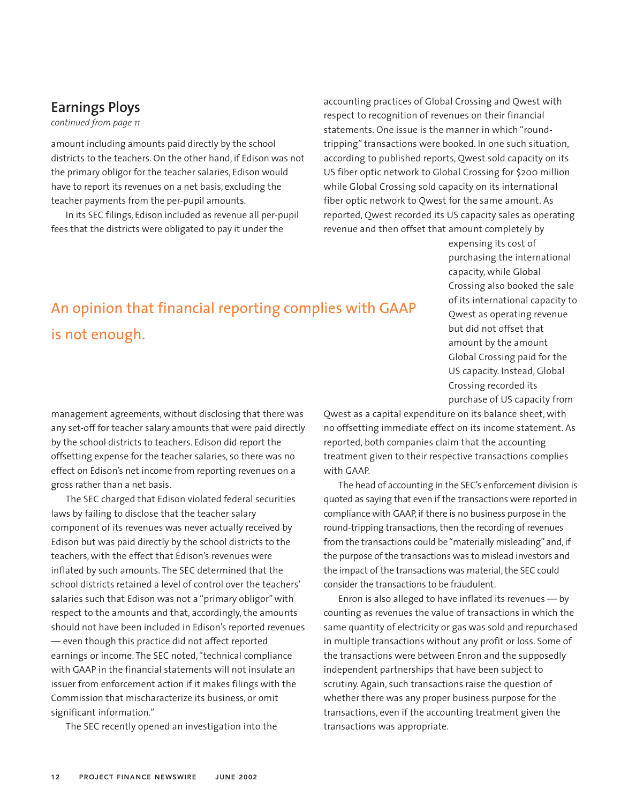## **Earnings Ploys**

*continued from page 11*

amount including amounts paid directly by the school districts to the teachers. On the other hand, if Edison was not the primary obligor for the teacher salaries, Edison would have to report its revenues on a net basis, excluding the teacher payments from the per-pupil amounts.

In its SEC filings, Edison included as revenue all per-pupil fees that the districts were obligated to pay it under the

accounting practices of Global Crossing and Qwest with respect to recognition of revenues on their financial statements. One issue is the manner in which "roundtripping" transactions were booked. In one such situation, according to published reports, Qwest sold capacity on its US fiber optic network to Global Crossing for \$200 million while Global Crossing sold capacity on its international fiber optic network to Qwest for the same amount. As reported, Qwest recorded its US capacity sales as operating revenue and then offset that amount completely by

> expensing its cost of purchasing the international capacity, while Global Crossing also booked the sale of its international capacity to Qwest as operating revenue but did not offset that amount by the amount Global Crossing paid for the US capacity. Instead, Global Crossing recorded its purchase of US capacity from

# An opinion that financial reporting complies with GAAP is not enough.

management agreements, without disclosing that there was any set-off for teacher salary amounts that were paid directly by the school districts to teachers. Edison did report the offsetting expense for the teacher salaries, so there was no effect on Edison's net income from reporting revenues on a gross rather than a net basis.

The SEC charged that Edison violated federal securities laws by failing to disclose that the teacher salary component of its revenues was never actually received by Edison but was paid directly by the school districts to the teachers, with the effect that Edison's revenues were inflated by such amounts. The SEC determined that the school districts retained a level of control over the teachers' salaries such that Edison was not a "primary obligor" with respect to the amounts and that, accordingly, the amounts should not have been included in Edison's reported revenues — even though this practice did not affect reported earnings or income. The SEC noted, "technical compliance with GAAP in the financial statements will not insulate an issuer from enforcement action if it makes filings with the Commission that mischaracterize its business, or omit significant information."

The SEC recently opened an investigation into the

Qwest as a capital expenditure on its balance sheet, with no offsetting immediate effect on its income statement. As reported, both companies claim that the accounting treatment given to their respective transactions complies with GAAP.

The head of accounting in the SEC's enforcement division is quoted as saying that even if the transactions were reported in compliance with GAAP, if there is no business purpose in the round-tripping transactions, then the recording of revenues from the transactions could be "materially misleading" and, if the purpose of the transactions was to mislead investors and the impact of the transactions was material, the SEC could consider the transactions to be fraudulent.

Enron is also alleged to have inflated its revenues — by counting as revenues the value of transactions in which the same quantity of electricity or gas was sold and repurchased in multiple transactions without any profit or loss. Some of the transactions were between Enron and the supposedly independent partnerships that have been subject to scrutiny. Again, such transactions raise the question of whether there was any proper business purpose for the transactions, even if the accounting treatment given the transactions was appropriate.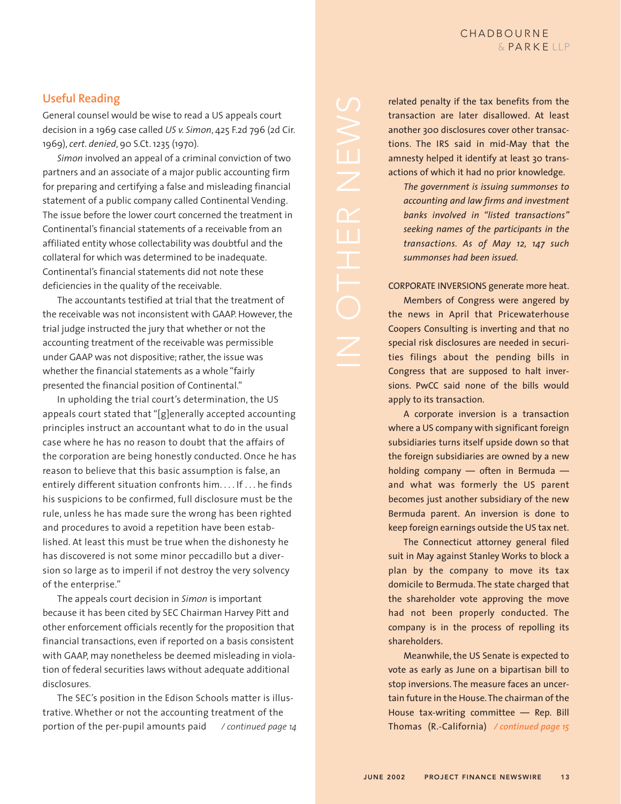## **Useful Reading**

General counsel would be wise to read a US appeals court decision in a 1969 case called *US v. Simon*, 425 F.2d 796 (2d Cir. 1969), *cert. denied*, 90 S.Ct. 1235 (1970).

*Simon* involved an appeal of a criminal conviction of two partners and an associate of a major public accounting firm for preparing and certifying a false and misleading financial statement of a public company called Continental Vending. The issue before the lower court concerned the treatment in Continental's financial statements of a receivable from an affiliated entity whose collectability was doubtful and the collateral for which was determined to be inadequate. Continental's financial statements did not note these deficiencies in the quality of the receivable.

The accountants testified at trial that the treatment of the receivable was not inconsistent with GAAP. However, the trial judge instructed the jury that whether or not the accounting treatment of the receivable was permissible under GAAP was not dispositive; rather, the issue was whether the financial statements as a whole "fairly presented the financial position of Continental."

In upholding the trial court's determination, the US appeals court stated that "[g]enerally accepted accounting principles instruct an accountant what to do in the usual case where he has no reason to doubt that the affairs of the corporation are being honestly conducted. Once he has reason to believe that this basic assumption is false, an entirely different situation confronts him. . . . If . . . he finds his suspicions to be confirmed, full disclosure must be the rule, unless he has made sure the wrong has been righted and procedures to avoid a repetition have been established. At least this must be true when the dishonesty he has discovered is not some minor peccadillo but a diversion so large as to imperil if not destroy the very solvency of the enterprise."

The appeals court decision in *Simon* is important because it has been cited by SEC Chairman Harvey Pitt and other enforcement officials recently for the proposition that financial transactions, even if reported on a basis consistent with GAAP, may nonetheless be deemed misleading in violation of federal securities laws without adequate additional disclosures.

The SEC's position in the Edison Schools matter is illustrative. Whether or not the accounting treatment of the portion of the per-pupil amounts paid */ continued page 14*

related penalty if the tax benefits from the transaction are later disallowed. At least another 300 disclosures cover other transactions. The IRS said in mid-May that the amnesty helped it identify at least 30 transactions of which it had no prior knowledge. *The government is issuing summonses to accounting and law firms and investment banks involved in "listed transactions" seeking names of the participants in the transactions. As of May 12, 147 such*

CORPORATE INVERSIONS generate more heat.

*summonses had been issued.*

Members of Congress were angered by the news in April that Pricewaterhouse Coopers Consulting is inverting and that no special risk disclosures are needed in securities filings about the pending bills in Congress that are supposed to halt inversions. PwCC said none of the bills would apply to its transaction.

A corporate inversion is a transaction where a US company with significant foreign subsidiaries turns itself upside down so that the foreign subsidiaries are owned by a new holding company — often in Bermuda and what was formerly the US parent becomes just another subsidiary of the new Bermuda parent. An inversion is done to keep foreign earnings outside the US tax net.

The Connecticut attorney general filed suit in May against Stanley Works to block a plan by the company to move its tax domicile to Bermuda. The state charged that the shareholder vote approving the move had not been properly conducted. The company is in the process of repolling its shareholders.

Meanwhile, the US Senate is expected to vote as early as June on a bipartisan bill to stop inversions. The measure faces an uncertain future in the House. The chairman of the House tax-writing committee — Rep. Bill Thomas (R.-California) */ continued page 15*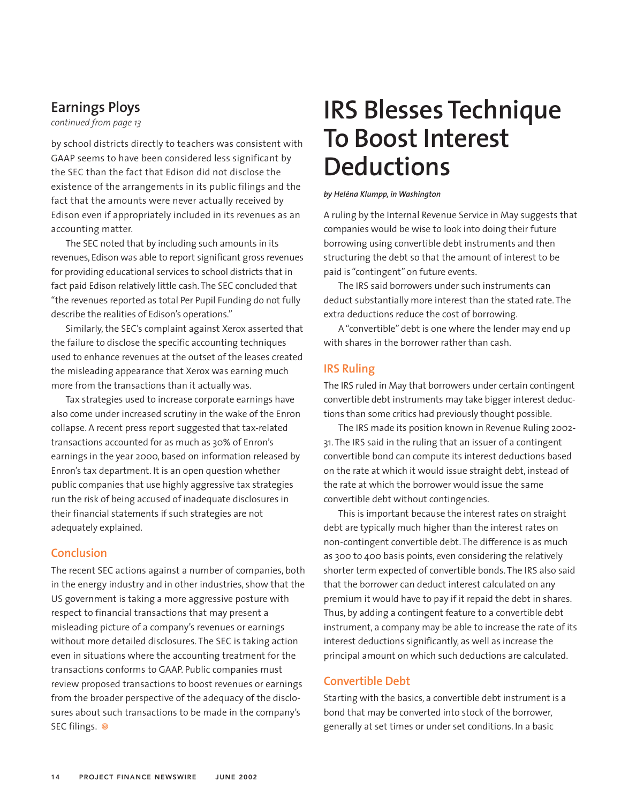## **Earnings Ploys**

*continued from page 13*

by school districts directly to teachers was consistent with GAAP seems to have been considered less significant by the SEC than the fact that Edison did not disclose the existence of the arrangements in its public filings and the fact that the amounts were never actually received by Edison even if appropriately included in its revenues as an accounting matter.

The SEC noted that by including such amounts in its revenues, Edison was able to report significant gross revenues for providing educational services to school districts that in fact paid Edison relatively little cash. The SEC concluded that "the revenues reported as total Per Pupil Funding do not fully describe the realities of Edison's operations."

Similarly, the SEC's complaint against Xerox asserted that the failure to disclose the specific accounting techniques used to enhance revenues at the outset of the leases created the misleading appearance that Xerox was earning much more from the transactions than it actually was.

Tax strategies used to increase corporate earnings have also come under increased scrutiny in the wake of the Enron collapse. A recent press report suggested that tax-related transactions accounted for as much as 30% of Enron's earnings in the year 2000, based on information released by Enron's tax department. It is an open question whether public companies that use highly aggressive tax strategies run the risk of being accused of inadequate disclosures in their financial statements if such strategies are not adequately explained.

#### **Conclusion**

The recent SEC actions against a number of companies, both in the energy industry and in other industries, show that the US government is taking a more aggressive posture with respect to financial transactions that may present a misleading picture of a company's revenues or earnings without more detailed disclosures. The SEC is taking action even in situations where the accounting treatment for the transactions conforms to GAAP. Public companies must review proposed transactions to boost revenues or earnings from the broader perspective of the adequacy of the disclosures about such transactions to be made in the company's SEC filings. <sup>@</sup>

# **IRS Blesses Technique To Boost Interest Deductions**

#### *by Heléna Klumpp, in Washington*

A ruling by the Internal Revenue Service in May suggests that companies would be wise to look into doing their future borrowing using convertible debt instruments and then structuring the debt so that the amount of interest to be paid is "contingent" on future events.

The IRS said borrowers under such instruments can deduct substantially more interest than the stated rate. The extra deductions reduce the cost of borrowing.

A "convertible" debt is one where the lender may end up with shares in the borrower rather than cash.

#### **IRS Ruling**

The IRS ruled in May that borrowers under certain contingent convertible debt instruments may take bigger interest deductions than some critics had previously thought possible.

The IRS made its position known in Revenue Ruling 2002- 31. The IRS said in the ruling that an issuer of a contingent convertible bond can compute its interest deductions based on the rate at which it would issue straight debt, instead of the rate at which the borrower would issue the same convertible debt without contingencies.

This is important because the interest rates on straight debt are typically much higher than the interest rates on non-contingent convertible debt. The difference is as much as 300 to 400 basis points, even considering the relatively shorter term expected of convertible bonds. The IRS also said that the borrower can deduct interest calculated on any premium it would have to pay if it repaid the debt in shares. Thus, by adding a contingent feature to a convertible debt instrument, a company may be able to increase the rate of its interest deductions significantly, as well as increase the principal amount on which such deductions are calculated.

#### **Convertible Debt**

Starting with the basics, a convertible debt instrument is a bond that may be converted into stock of the borrower, generally at set times or under set conditions. In a basic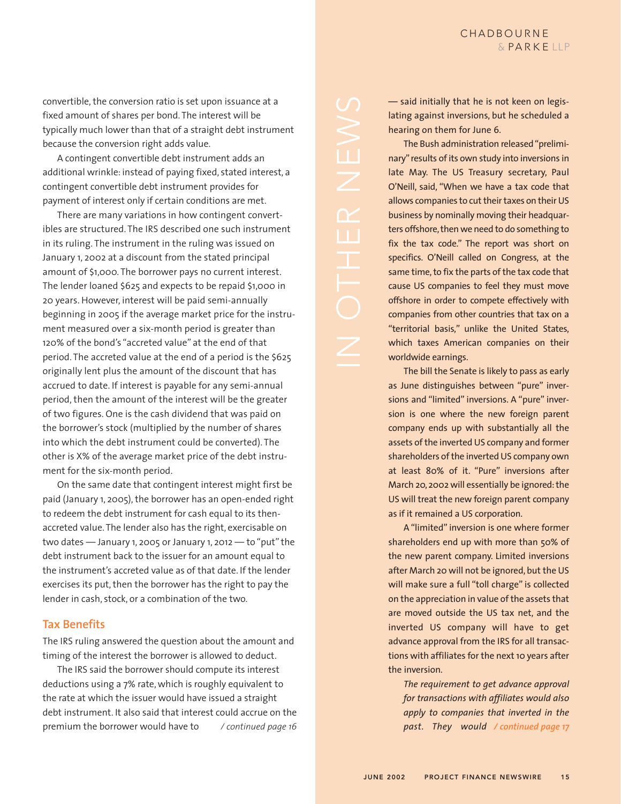convertible, the conversion ratio is set upon issuance at a fixed amount of shares per bond. The interest will be typically much lower than that of a straight debt instrument because the conversion right adds value.

A contingent convertible debt instrument adds an additional wrinkle: instead of paying fixed, stated interest, a contingent convertible debt instrument provides for payment of interest only if certain conditions are met.

There are many variations in how contingent convertibles are structured. The IRS described one such instrument in its ruling. The instrument in the ruling was issued on January 1, 2002 at a discount from the stated principal amount of \$1,000. The borrower pays no current interest. The lender loaned \$625 and expects to be repaid \$1,000 in 20 years. However, interest will be paid semi-annually beginning in 2005 if the average market price for the instrument measured over a six-month period is greater than 120% of the bond's "accreted value" at the end of that period. The accreted value at the end of a period is the \$625 originally lent plus the amount of the discount that has accrued to date. If interest is payable for any semi-annual period, then the amount of the interest will be the greater of two figures. One is the cash dividend that was paid on the borrower's stock (multiplied by the number of shares into which the debt instrument could be converted). The other is X% of the average market price of the debt instrument for the six-month period.

On the same date that contingent interest might first be paid (January 1, 2005), the borrower has an open-ended right to redeem the debt instrument for cash equal to its thenaccreted value. The lender also has the right, exercisable on two dates — January 1, 2005 or January 1, 2012 — to "put" the debt instrument back to the issuer for an amount equal to the instrument's accreted value as of that date. If the lender exercises its put, then the borrower has the right to pay the lender in cash, stock, or a combination of the two.

#### **Tax Benefits**

The IRS ruling answered the question about the amount and timing of the interest the borrower is allowed to deduct.

The IRS said the borrower should compute its interest deductions using a 7% rate, which is roughly equivalent to the rate at which the issuer would have issued a straight debt instrument. It also said that interest could accrue on the premium the borrower would have to */ continued page 16* — said initially that he is not keen on legislating against inversions, but he scheduled a hearing on them for June 6.

The Bush administration released "preliminary" results of its own study into inversions in late May. The US Treasury secretary, Paul O'Neill, said, "When we have a tax code that allows companies to cut their taxes on their US business by nominally moving their headquarters offshore, then we need to do something to fix the tax code." The report was short on specifics. O'Neill called on Congress, at the same time, to fix the parts of the tax code that cause US companies to feel they must move offshore in order to compete effectively with companies from other countries that tax on a "territorial basis," unlike the United States, which taxes American companies on their worldwide earnings.

The bill the Senate is likely to pass as early as June distinguishes between "pure" inversions and "limited" inversions. A "pure" inversion is one where the new foreign parent company ends up with substantially all the assets of the inverted US company and former shareholders of the inverted US company own at least 80% of it. "Pure" inversions after March 20, 2002 will essentially be ignored: the US will treat the new foreign parent company as if it remained a US corporation.

A "limited" inversion is one where former shareholders end up with more than 50% of the new parent company. Limited inversions after March 20 will not be ignored, but the US will make sure a full "toll charge" is collected on the appreciation in value of the assets that are moved outside the US tax net, and the inverted US company will have to get advance approval from the IRS for all transactions with affiliates for the next 10 years after the inversion.

*The requirement to get advance approval for transactions with affiliates would also apply to companies that inverted in the past. They would / continued page 17*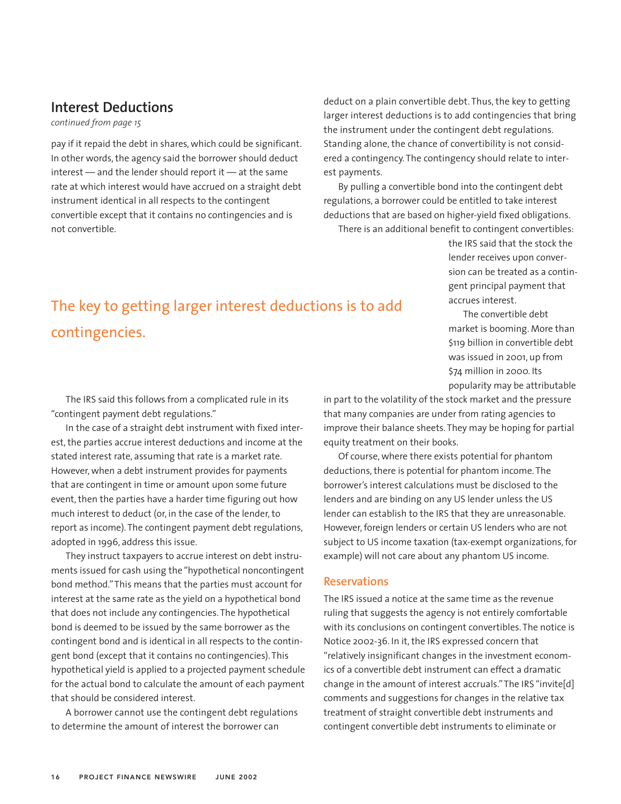## **Interest Deductions**

*continued from page 15*

pay if it repaid the debt in shares, which could be significant. In other words, the agency said the borrower should deduct interest — and the lender should report it — at the same rate at which interest would have accrued on a straight debt instrument identical in all respects to the contingent convertible except that it contains no contingencies and is not convertible.

deduct on a plain convertible debt. Thus, the key to getting larger interest deductions is to add contingencies that bring the instrument under the contingent debt regulations. Standing alone, the chance of convertibility is not considered a contingency. The contingency should relate to interest payments.

By pulling a convertible bond into the contingent debt regulations, a borrower could be entitled to take interest deductions that are based on higher-yield fixed obligations. There is an additional benefit to contingent convertibles:

the IRS said that the stock the lender receives upon conversion can be treated as a contingent principal payment that accrues interest.

The convertible debt market is booming. More than \$119 billion in convertible debt was issued in 2001, up from \$74 million in 2000. Its

popularity may be attributable

# The key to getting larger interest deductions is to add contingencies.

The IRS said this follows from a complicated rule in its "contingent payment debt regulations."

In the case of a straight debt instrument with fixed interest, the parties accrue interest deductions and income at the stated interest rate, assuming that rate is a market rate. However, when a debt instrument provides for payments that are contingent in time or amount upon some future event, then the parties have a harder time figuring out how much interest to deduct (or, in the case of the lender, to report as income). The contingent payment debt regulations, adopted in 1996, address this issue.

They instruct taxpayers to accrue interest on debt instruments issued for cash using the "hypothetical noncontingent bond method."This means that the parties must account for interest at the same rate as the yield on a hypothetical bond that does not include any contingencies. The hypothetical bond is deemed to be issued by the same borrower as the contingent bond and is identical in all respects to the contingent bond (except that it contains no contingencies). This hypothetical yield is applied to a projected payment schedule for the actual bond to calculate the amount of each payment that should be considered interest.

A borrower cannot use the contingent debt regulations to determine the amount of interest the borrower can

in part to the volatility of the stock market and the pressure that many companies are under from rating agencies to improve their balance sheets. They may be hoping for partial equity treatment on their books.

Of course, where there exists potential for phantom deductions, there is potential for phantom income. The borrower's interest calculations must be disclosed to the lenders and are binding on any US lender unless the US lender can establish to the IRS that they are unreasonable. However, foreign lenders or certain US lenders who are not subject to US income taxation (tax-exempt organizations, for example) will not care about any phantom US income.

#### **Reservations**

The IRS issued a notice at the same time as the revenue ruling that suggests the agency is not entirely comfortable with its conclusions on contingent convertibles. The notice is Notice 2002-36. In it, the IRS expressed concern that "relatively insignificant changes in the investment economics of a convertible debt instrument can effect a dramatic change in the amount of interest accruals."The IRS "invite[d] comments and suggestions for changes in the relative tax treatment of straight convertible debt instruments and contingent convertible debt instruments to eliminate or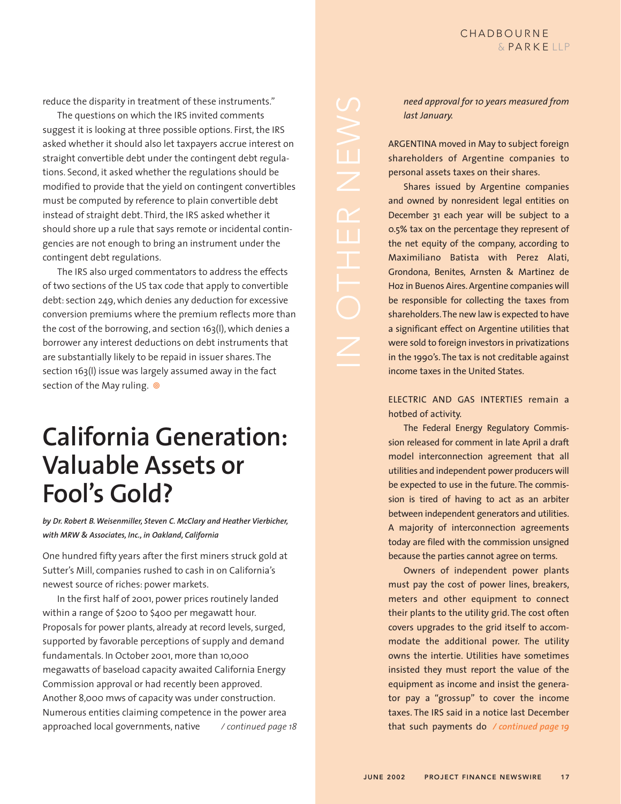reduce the disparity in treatment of these instruments."

The questions on which the IRS invited comments suggest it is looking at three possible options. First, the IRS asked whether it should also let taxpayers accrue interest on straight convertible debt under the contingent debt regulations. Second, it asked whether the regulations should be modified to provide that the yield on contingent convertibles must be computed by reference to plain convertible debt instead of straight debt. Third, the IRS asked whether it should shore up a rule that says remote or incidental contingencies are not enough to bring an instrument under the contingent debt regulations.

The IRS also urged commentators to address the effects of two sections of the US tax code that apply to convertible debt: section 249, which denies any deduction for excessive conversion premiums where the premium reflects more than the cost of the borrowing, and section 163(l), which denies a borrower any interest deductions on debt instruments that are substantially likely to be repaid in issuer shares. The section 163(l) issue was largely assumed away in the fact section of the May ruling.  $\circledcirc$ 

# **California Generation: Valuable Assets or Fool's Gold?**

*by Dr. Robert B. Weisenmiller, Steven C. McClary and Heather Vierbicher, with MRW & Associates, Inc., in Oakland, California*

One hundred fifty years after the first miners struck gold at Sutter's Mill, companies rushed to cash in on California's newest source of riches: power markets.

In the first half of 2001, power prices routinely landed within a range of \$200 to \$400 per megawatt hour. Proposals for power plants, already at record levels, surged, supported by favorable perceptions of supply and demand fundamentals. In October 2001, more than 10,000 megawatts of baseload capacity awaited California Energy Commission approval or had recently been approved. Another 8,000 mws of capacity was under construction. Numerous entities claiming competence in the power area approached local governments, native */ continued page 18* *need approval for 10 years measured from last January.*

ARGENTINA moved in May to subject foreign shareholders of Argentine companies to personal assets taxes on their shares.

Shares issued by Argentine companies and owned by nonresident legal entities on December 31 each year will be subject to a 0.5% tax on the percentage they represent of the net equity of the company, according to Maximiliano Batista with Perez Alati, Grondona, Benites, Arnsten & Martinez de Hoz in Buenos Aires. Argentine companies will be responsible for collecting the taxes from shareholders.The new law is expected to have a significant effect on Argentine utilities that were sold to foreign investors in privatizations in the 1990's. The tax is not creditable against income taxes in the United States.

ELECTRIC AND GAS INTERTIES remain a hotbed of activity.

The Federal Energy Regulatory Commission released for comment in late April a draft model interconnection agreement that all utilities and independent power producers will be expected to use in the future. The commission is tired of having to act as an arbiter between independent generators and utilities. A majority of interconnection agreements today are filed with the commission unsigned because the parties cannot agree on terms.

Owners of independent power plants must pay the cost of power lines, breakers, meters and other equipment to connect their plants to the utility grid. The cost often covers upgrades to the grid itself to accommodate the additional power. The utility owns the intertie. Utilities have sometimes insisted they must report the value of the equipment as income and insist the generator pay a "grossup" to cover the income taxes. The IRS said in a notice last December that such payments do */ continued page 19*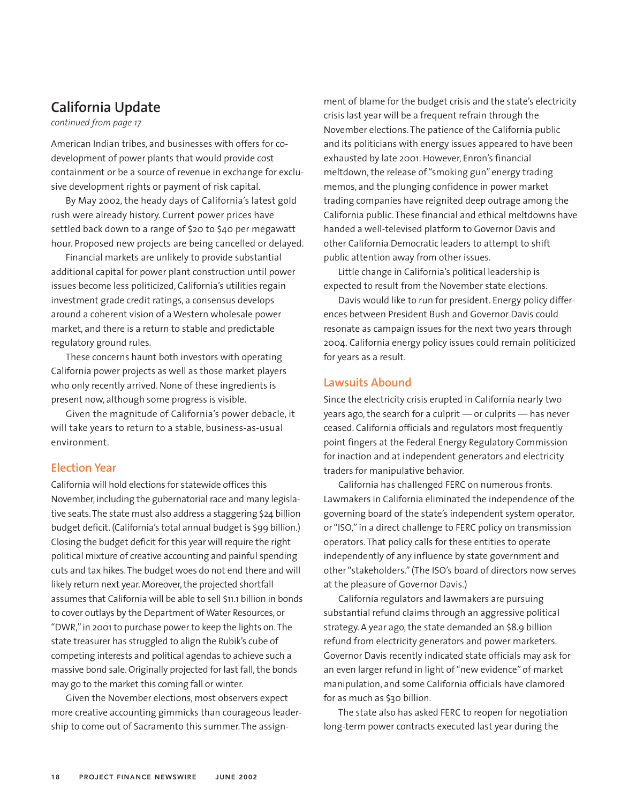## **California Update**

*continued from page 17*

American Indian tribes, and businesses with offers for codevelopment of power plants that would provide cost containment or be a source of revenue in exchange for exclusive development rights or payment of risk capital.

By May 2002, the heady days of California's latest gold rush were already history. Current power prices have settled back down to a range of \$20 to \$40 per megawatt hour. Proposed new projects are being cancelled or delayed.

Financial markets are unlikely to provide substantial additional capital for power plant construction until power issues become less politicized, California's utilities regain investment grade credit ratings, a consensus develops around a coherent vision of a Western wholesale power market, and there is a return to stable and predictable regulatory ground rules.

These concerns haunt both investors with operating California power projects as well as those market players who only recently arrived. None of these ingredients is present now, although some progress is visible.

Given the magnitude of California's power debacle, it will take years to return to a stable, business-as-usual environment.

#### **Election Year**

California will hold elections for statewide offices this November, including the gubernatorial race and many legislative seats. The state must also address a staggering \$24 billion budget deficit. (California's total annual budget is \$99 billion.) Closing the budget deficit for this year will require the right political mixture of creative accounting and painful spending cuts and tax hikes. The budget woes do not end there and will likely return next year. Moreover, the projected shortfall assumes that California will be able to sell \$11.1 billion in bonds to cover outlays by the Department of Water Resources, or "DWR," in 2001 to purchase power to keep the lights on. The state treasurer has struggled to align the Rubik's cube of competing interests and political agendas to achieve such a massive bond sale. Originally projected for last fall, the bonds may go to the market this coming fall or winter.

Given the November elections, most observers expect more creative accounting gimmicks than courageous leadership to come out of Sacramento this summer. The assignment of blame for the budget crisis and the state's electricity crisis last year will be a frequent refrain through the November elections. The patience of the California public and its politicians with energy issues appeared to have been exhausted by late 2001. However, Enron's financial meltdown, the release of "smoking gun" energy trading memos, and the plunging confidence in power market trading companies have reignited deep outrage among the California public. These financial and ethical meltdowns have handed a well-televised platform to Governor Davis and other California Democratic leaders to attempt to shift public attention away from other issues.

Little change in California's political leadership is expected to result from the November state elections.

Davis would like to run for president. Energy policy differences between President Bush and Governor Davis could resonate as campaign issues for the next two years through 2004. California energy policy issues could remain politicized for years as a result.

#### **Lawsuits Abound**

Since the electricity crisis erupted in California nearly two years ago, the search for a culprit — or culprits — has never ceased. California officials and regulators most frequently point fingers at the Federal Energy Regulatory Commission for inaction and at independent generators and electricity traders for manipulative behavior.

California has challenged FERC on numerous fronts. Lawmakers in California eliminated the independence of the governing board of the state's independent system operator, or "ISO," in a direct challenge to FERC policy on transmission operators. That policy calls for these entities to operate independently of any influence by state government and other "stakeholders." (The ISO's board of directors now serves at the pleasure of Governor Davis.)

California regulators and lawmakers are pursuing substantial refund claims through an aggressive political strategy. A year ago, the state demanded an \$8.9 billion refund from electricity generators and power marketers. Governor Davis recently indicated state officials may ask for an even larger refund in light of "new evidence" of market manipulation, and some California officials have clamored for as much as \$30 billion.

The state also has asked FERC to reopen for negotiation long-term power contracts executed last year during the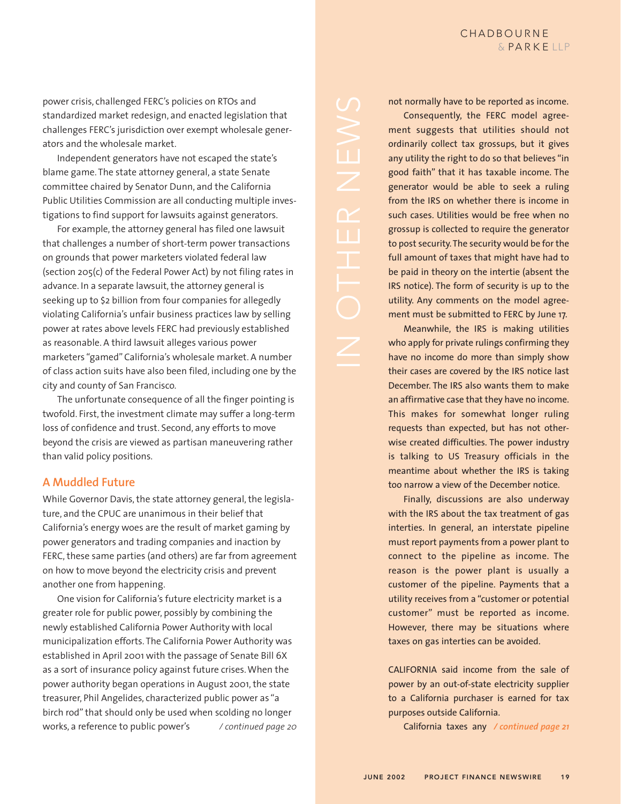power crisis, challenged FERC's policies on RTOs and standardized market redesign, and enacted legislation that challenges FERC's jurisdiction over exempt wholesale generators and the wholesale market.

Independent generators have not escaped the state's blame game. The state attorney general, a state Senate committee chaired by Senator Dunn, and the California Public Utilities Commission are all conducting multiple investigations to find support for lawsuits against generators.

For example, the attorney general has filed one lawsuit that challenges a number of short-term power transactions on grounds that power marketers violated federal law (section 205(c) of the Federal Power Act) by not filing rates in advance. In a separate lawsuit, the attorney general is seeking up to \$2 billion from four companies for allegedly violating California's unfair business practices law by selling power at rates above levels FERC had previously established as reasonable. A third lawsuit alleges various power marketers "gamed" California's wholesale market. A number of class action suits have also been filed, including one by the city and county of San Francisco.

The unfortunate consequence of all the finger pointing is twofold. First, the investment climate may suffer a long-term loss of confidence and trust. Second, any efforts to move beyond the crisis are viewed as partisan maneuvering rather than valid policy positions.

### **A Muddled Future**

While Governor Davis, the state attorney general, the legislature, and the CPUC are unanimous in their belief that California's energy woes are the result of market gaming by power generators and trading companies and inaction by FERC, these same parties (and others) are far from agreement on how to move beyond the electricity crisis and prevent another one from happening.

One vision for California's future electricity market is a greater role for public power, possibly by combining the newly established California Power Authority with local municipalization efforts. The California Power Authority was established in April 2001 with the passage of Senate Bill 6X as a sort of insurance policy against future crises. When the power authority began operations in August 2001, the state treasurer, Phil Angelides, characterized public power as "a birch rod" that should only be used when scolding no longer works, a reference to public power's */ continued page 20*

such cases. Utilities would be free when no grossup is collected to require the generator to post security.The security would be for the full amount of taxes that might have had to IRS notice). The form of security is up to the utility. Any comments on the model agree-

not normally have to be reported as income. Consequently, the FERC model agreement suggests that utilities should not ordinarily collect tax grossups, but it gives any utility the right to do so that believes "in good faith" that it has taxable income. The generator would be able to seek a ruling from the IRS on whether there is income in

ment must be submitted to FERC by June 17. Meanwhile, the IRS is making utilities who apply for private rulings confirming they have no income do more than simply show their cases are covered by the IRS notice last December. The IRS also wants them to make an affirmative case that they have no income. This makes for somewhat longer ruling requests than expected, but has not otherwise created difficulties. The power industry is talking to US Treasury officials in the meantime about whether the IRS is taking too narrow a view of the December notice.

be paid in theory on the intertie (absent the

Finally, discussions are also underway with the IRS about the tax treatment of gas interties. In general, an interstate pipeline must report payments from a power plant to connect to the pipeline as income. The reason is the power plant is usually a customer of the pipeline. Payments that a utility receives from a "customer or potential customer" must be reported as income. However, there may be situations where taxes on gas interties can be avoided.

CALIFORNIA said income from the sale of power by an out-of-state electricity supplier to a California purchaser is earned for tax purposes outside California.

California taxes any */ continued page 21*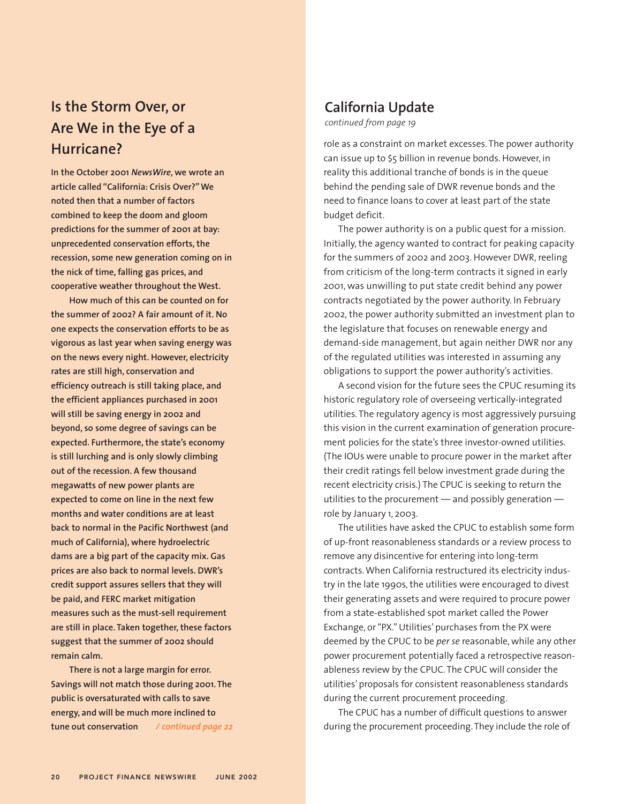# **Is the Storm Over, or Are We in the Eye of a Hurricane?**

**In the October 2001** *NewsWire***, we wrote an article called "California: Crisis Over?" We noted then that a number of factors combined to keep the doom and gloom predictions for the summer of 2001 at bay: unprecedented conservation efforts, the recession, some new generation coming on in the nick of time, falling gas prices, and cooperative weather throughout the West.**

**How much of this can be counted on for the summer of 2002? A fair amount of it. No one expects the conservation efforts to be as vigorous as last year when saving energy was on the news every night. However, electricity rates are still high, conservation and efficiency outreach is still taking place, and the efficient appliances purchased in 2001 will still be saving energy in 2002 and beyond, so some degree of savings can be expected. Furthermore, the state's economy is still lurching and is only slowly climbing out of the recession. A few thousand megawatts of new power plants are expected to come on line in the next few months and water conditions are at least back to normal in the Pacific Northwest (and much of California), where hydroelectric dams are a big part of the capacity mix. Gas prices are also back to normal levels. DWR's credit support assures sellers that they will be paid, and FERC market mitigation measures such as the must-sell requirement are still in place. Taken together, these factors suggest that the summer of 2002 should remain calm.**

**There is not a large margin for error. Savings will not match those during 2001. The public is oversaturated with calls to save energy, and will be much more inclined to tune out conservation** */ continued page 22*

# **California Update**

*continued from page 19*

role as a constraint on market excesses. The power authority can issue up to \$5 billion in revenue bonds. However, in reality this additional tranche of bonds is in the queue behind the pending sale of DWR revenue bonds and the need to finance loans to cover at least part of the state budget deficit.

The power authority is on a public quest for a mission. Initially, the agency wanted to contract for peaking capacity for the summers of 2002 and 2003. However DWR, reeling from criticism of the long-term contracts it signed in early 2001, was unwilling to put state credit behind any power contracts negotiated by the power authority. In February 2002, the power authority submitted an investment plan to the legislature that focuses on renewable energy and demand-side management, but again neither DWR nor any of the regulated utilities was interested in assuming any obligations to support the power authority's activities.

A second vision for the future sees the CPUC resuming its historic regulatory role of overseeing vertically-integrated utilities. The regulatory agency is most aggressively pursuing this vision in the current examination of generation procurement policies for the state's three investor-owned utilities. (The IOUs were unable to procure power in the market after their credit ratings fell below investment grade during the recent electricity crisis.) The CPUC is seeking to return the utilities to the procurement — and possibly generation role by January 1, 2003.

The utilities have asked the CPUC to establish some form of up-front reasonableness standards or a review process to remove any disincentive for entering into long-term contracts. When California restructured its electricity industry in the late 1990s, the utilities were encouraged to divest their generating assets and were required to procure power from a state-established spot market called the Power Exchange, or "PX." Utilities' purchases from the PX were deemed by the CPUC to be *per se* reasonable, while any other power procurement potentially faced a retrospective reasonableness review by the CPUC. The CPUC will consider the utilities' proposals for consistent reasonableness standards during the current procurement proceeding.

The CPUC has a number of difficult questions to answer during the procurement proceeding. They include the role of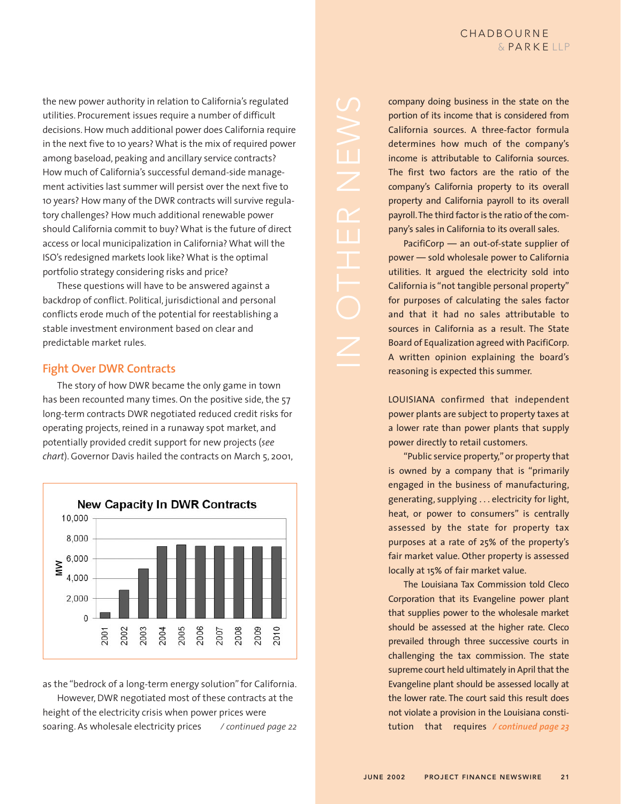the new power authority in relation to California's regulated utilities. Procurement issues require a number of difficult decisions. How much additional power does California require in the next five to 10 years? What is the mix of required power among baseload, peaking and ancillary service contracts? How much of California's successful demand-side management activities last summer will persist over the next five to 10 years? How many of the DWR contracts will survive regulatory challenges? How much additional renewable power should California commit to buy? What is the future of direct access or local municipalization in California? What will the ISO's redesigned markets look like? What is the optimal portfolio strategy considering risks and price?

These questions will have to be answered against a backdrop of conflict. Political, jurisdictional and personal conflicts erode much of the potential for reestablishing a stable investment environment based on clear and predictable market rules.

### **Fight Over DWR Contracts**

The story of how DWR became the only game in town has been recounted many times. On the positive side, the 57 long-term contracts DWR negotiated reduced credit risks for operating projects, reined in a runaway spot market, and potentially provided credit support for new projects (*see chart*). Governor Davis hailed the contracts on March 5, 2001,



as the "bedrock of a long-term energy solution" for California. However, DWR negotiated most of these contracts at the height of the electricity crisis when power prices were soaring. As wholesale electricity prices */ continued page 22*

company doing business in the state on the portion of its income that is considered from California sources. A three-factor formula determines how much of the company's income is attributable to California sources. The first two factors are the ratio of the company's California property to its overall property and California payroll to its overall payroll.The third factor is the ratio of the company's sales in California to its overall sales. PacifiCorp — an out-of-state supplier of

power — sold wholesale power to California utilities. It argued the electricity sold into California is "not tangible personal property" for purposes of calculating the sales factor and that it had no sales attributable to sources in California as a result. The State Board of Equalization agreed with PacifiCorp. A written opinion explaining the board's reasoning is expected this summer.

LOUISIANA confirmed that independent power plants are subject to property taxes at a lower rate than power plants that supply power directly to retail customers.

"Public service property," or property that is owned by a company that is "primarily engaged in the business of manufacturing, generating, supplying . . . electricity for light, heat, or power to consumers" is centrally assessed by the state for property tax purposes at a rate of 25% of the property's fair market value. Other property is assessed locally at 15% of fair market value.

The Louisiana Tax Commission told Cleco Corporation that its Evangeline power plant that supplies power to the wholesale market should be assessed at the higher rate. Cleco prevailed through three successive courts in challenging the tax commission. The state supreme court held ultimately in April that the Evangeline plant should be assessed locally at the lower rate. The court said this result does not violate a provision in the Louisiana constitution that requires */ continued page 23*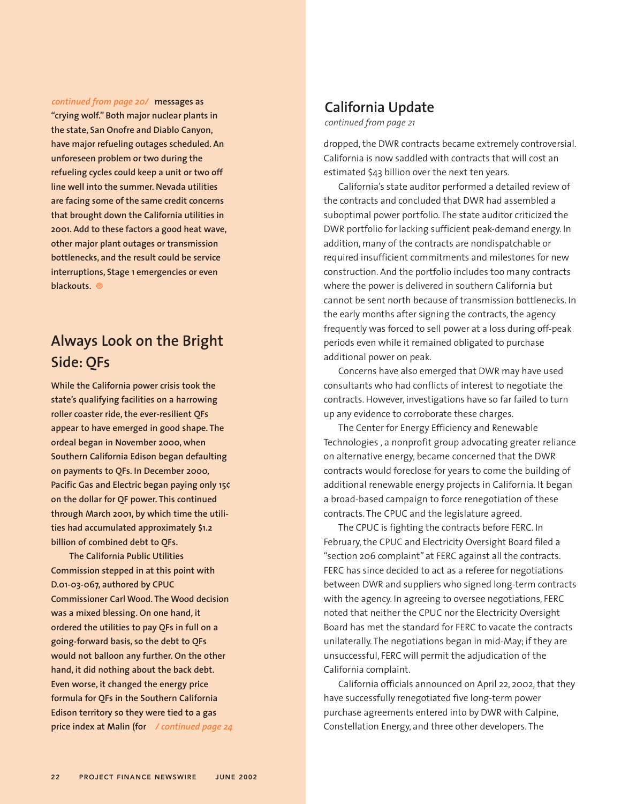**messages as** *continued from page 20/*

**"crying wolf." Both major nuclear plants in the state, San Onofre and Diablo Canyon, have major refueling outages scheduled. An unforeseen problem or two during the refueling cycles could keep a unit or two off line well into the summer. Nevada utilities are facing some of the same credit concerns that brought down the California utilities in 2001. Add to these factors a good heat wave, other major plant outages or transmission bottlenecks, and the result could be service interruptions, Stage 1 emergencies or even blackouts.**

# **Always Look on the Bright Side: QFs**

**While the California power crisis took the state's qualifying facilities on a harrowing roller coaster ride, the ever-resilient QFs appear to have emerged in good shape. The ordeal began in November 2000, when Southern California Edison began defaulting on payments to QFs. In December 2000, Pacific Gas and Electric began paying only 15¢ on the dollar for QF power. This continued through March 2001, by which time the utilities had accumulated approximately \$1.2 billion of combined debt to QFs.**

**The California Public Utilities Commission stepped in at this point with D.01-03-067, authored by CPUC Commissioner Carl Wood. The Wood decision was a mixed blessing. On one hand, it ordered the utilities to pay QFs in full on a going-forward basis, so the debt to QFs would not balloon any further. On the other hand, it did nothing about the back debt. Even worse, it changed the energy price formula for QFs in the Southern California Edison territory so they were tied to a gas price index at Malin (for** */ continued page 24*

## **California Update**

*continued from page 21*

dropped, the DWR contracts became extremely controversial. California is now saddled with contracts that will cost an estimated \$43 billion over the next ten years.

California's state auditor performed a detailed review of the contracts and concluded that DWR had assembled a suboptimal power portfolio. The state auditor criticized the DWR portfolio for lacking sufficient peak-demand energy. In addition, many of the contracts are nondispatchable or required insufficient commitments and milestones for new construction. And the portfolio includes too many contracts where the power is delivered in southern California but cannot be sent north because of transmission bottlenecks. In the early months after signing the contracts, the agency frequently was forced to sell power at a loss during off-peak periods even while it remained obligated to purchase additional power on peak.

Concerns have also emerged that DWR may have used consultants who had conflicts of interest to negotiate the contracts. However, investigations have so far failed to turn up any evidence to corroborate these charges.

The Center for Energy Efficiency and Renewable Technologies , a nonprofit group advocating greater reliance on alternative energy, became concerned that the DWR contracts would foreclose for years to come the building of additional renewable energy projects in California. It began a broad-based campaign to force renegotiation of these contracts. The CPUC and the legislature agreed.

The CPUC is fighting the contracts before FERC. In February, the CPUC and Electricity Oversight Board filed a "section 206 complaint" at FERC against all the contracts. FERC has since decided to act as a referee for negotiations between DWR and suppliers who signed long-term contracts with the agency. In agreeing to oversee negotiations, FERC noted that neither the CPUC nor the Electricity Oversight Board has met the standard for FERC to vacate the contracts unilaterally. The negotiations began in mid-May; if they are unsuccessful, FERC will permit the adjudication of the California complaint.

California officials announced on April 22, 2002, that they have successfully renegotiated five long-term power purchase agreements entered into by DWR with Calpine, Constellation Energy, and three other developers. The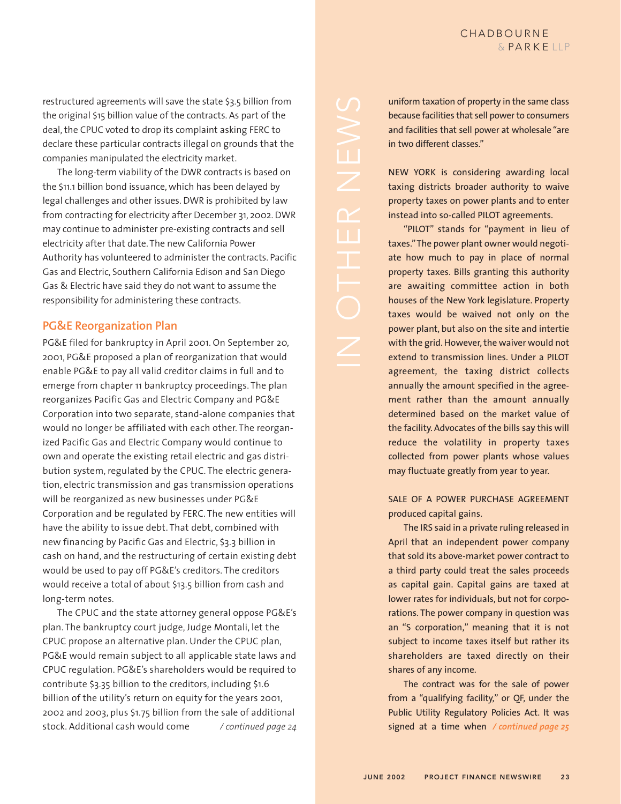restructured agreements will save the state \$3.5 billion from the original \$15 billion value of the contracts. As part of the deal, the CPUC voted to drop its complaint asking FERC to declare these particular contracts illegal on grounds that the companies manipulated the electricity market.

The long-term viability of the DWR contracts is based on the \$11.1 billion bond issuance, which has been delayed by legal challenges and other issues. DWR is prohibited by law from contracting for electricity after December 31, 2002. DWR may continue to administer pre-existing contracts and sell electricity after that date. The new California Power Authority has volunteered to administer the contracts. Pacific Gas and Electric, Southern California Edison and San Diego Gas & Electric have said they do not want to assume the responsibility for administering these contracts.

#### **PG&E Reorganization Plan**

PG&E filed for bankruptcy in April 2001. On September 20, 2001, PG&E proposed a plan of reorganization that would enable PG&E to pay all valid creditor claims in full and to emerge from chapter 11 bankruptcy proceedings. The plan reorganizes Pacific Gas and Electric Company and PG&E Corporation into two separate, stand-alone companies that would no longer be affiliated with each other. The reorganized Pacific Gas and Electric Company would continue to own and operate the existing retail electric and gas distribution system, regulated by the CPUC. The electric generation, electric transmission and gas transmission operations will be reorganized as new businesses under PG&E Corporation and be regulated by FERC. The new entities will have the ability to issue debt. That debt, combined with new financing by Pacific Gas and Electric, \$3.3 billion in cash on hand, and the restructuring of certain existing debt would be used to pay off PG&E's creditors. The creditors would receive a total of about \$13.5 billion from cash and long-term notes.

The CPUC and the state attorney general oppose PG&E's plan. The bankruptcy court judge, Judge Montali, let the CPUC propose an alternative plan. Under the CPUC plan, PG&E would remain subject to all applicable state laws and CPUC regulation. PG&E's shareholders would be required to contribute \$3.35 billion to the creditors, including \$1.6 billion of the utility's return on equity for the years 2001, 2002 and 2003, plus \$1.75 billion from the sale of additional stock. Additional cash would come */ continued page 24*

uniform taxation of property in the same class because facilities that sell power to consumers and facilities that sell power at wholesale "are in two different classes."

NEW YORK is considering awarding local taxing districts broader authority to waive property taxes on power plants and to enter instead into so-called PILOT agreements.

"PILOT" stands for "payment in lieu of taxes."The power plant owner would negotiate how much to pay in place of normal property taxes. Bills granting this authority are awaiting committee action in both houses of the New York legislature. Property taxes would be waived not only on the power plant, but also on the site and intertie with the grid. However, the waiver would not extend to transmission lines. Under a PILOT agreement, the taxing district collects annually the amount specified in the agreement rather than the amount annually determined based on the market value of the facility. Advocates of the bills say this will reduce the volatility in property taxes collected from power plants whose values may fluctuate greatly from year to year.

SALE OF A POWER PURCHASE AGREEMENT produced capital gains.

The IRS said in a private ruling released in April that an independent power company that sold its above-market power contract to a third party could treat the sales proceeds as capital gain. Capital gains are taxed at lower rates for individuals, but not for corporations. The power company in question was an "S corporation," meaning that it is not subject to income taxes itself but rather its shareholders are taxed directly on their shares of any income.

The contract was for the sale of power from a "qualifying facility," or QF, under the Public Utility Regulatory Policies Act. It was signed at a time when */ continued page 25*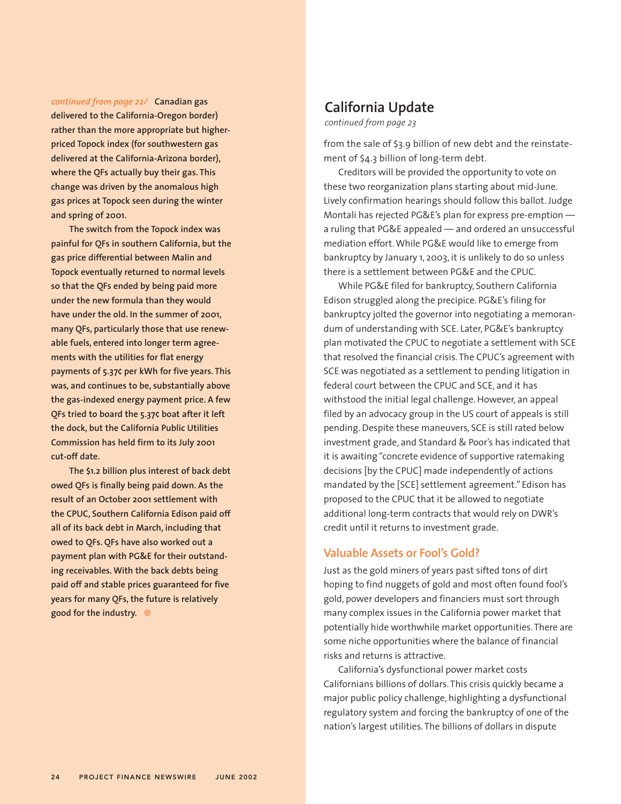#### *continued from page 22/* **Canadian gas**

**delivered to the California-Oregon border) rather than the more appropriate but higherpriced Topock index (for southwestern gas delivered at the California-Arizona border), where the QFs actually buy their gas. This change was driven by the anomalous high gas prices at Topock seen during the winter and spring of 2001.**

**The switch from the Topock index was painful for QFs in southern California, but the gas price differential between Malin and Topock eventually returned to normal levels so that the QFs ended by being paid more under the new formula than they would have under the old. In the summer of 2001, many QFs, particularly those that use renewable fuels, entered into longer term agreements with the utilities for flat energy payments of 5.37¢ per kWh for five years. This was, and continues to be, substantially above the gas-indexed energy payment price. A few QFs tried to board the 5.37¢ boat after it left the dock, but the California Public Utilities Commission has held firm to its July 2001 cut-off date.**

**The \$1.2 billion plus interest of back debt owed QFs is finally being paid down. As the result of an October 2001 settlement with the CPUC, Southern California Edison paid off all of its back debt in March, including that owed to QFs. QFs have also worked out a payment plan with PG&E for their outstanding receivables. With the back debts being paid off and stable prices guaranteed for five years for many QFs, the future is relatively good for the industry.**

## **California Update**

*continued from page 23*

from the sale of \$3.9 billion of new debt and the reinstatement of \$4.3 billion of long-term debt.

Creditors will be provided the opportunity to vote on these two reorganization plans starting about mid-June. Lively confirmation hearings should follow this ballot. Judge Montali has rejected PG&E's plan for express pre-emption a ruling that PG&E appealed — and ordered an unsuccessful mediation effort. While PG&E would like to emerge from bankruptcy by January 1, 2003, it is unlikely to do so unless there is a settlement between PG&E and the CPUC.

While PG&E filed for bankruptcy, Southern California Edison struggled along the precipice. PG&E's filing for bankruptcy jolted the governor into negotiating a memorandum of understanding with SCE. Later, PG&E's bankruptcy plan motivated the CPUC to negotiate a settlement with SCE that resolved the financial crisis. The CPUC's agreement with SCE was negotiated as a settlement to pending litigation in federal court between the CPUC and SCE, and it has withstood the initial legal challenge. However, an appeal filed by an advocacy group in the US court of appeals is still pending. Despite these maneuvers, SCE is still rated below investment grade, and Standard & Poor's has indicated that it is awaiting "concrete evidence of supportive ratemaking decisions [by the CPUC] made independently of actions mandated by the [SCE] settlement agreement." Edison has proposed to the CPUC that it be allowed to negotiate additional long-term contracts that would rely on DWR's credit until it returns to investment grade.

#### **Valuable Assets or Fool's Gold?**

Just as the gold miners of years past sifted tons of dirt hoping to find nuggets of gold and most often found fool's gold, power developers and financiers must sort through many complex issues in the California power market that potentially hide worthwhile market opportunities. There are some niche opportunities where the balance of financial risks and returns is attractive.

California's dysfunctional power market costs Californians billions of dollars. This crisis quickly became a major public policy challenge, highlighting a dysfunctional regulatory system and forcing the bankruptcy of one of the nation's largest utilities. The billions of dollars in dispute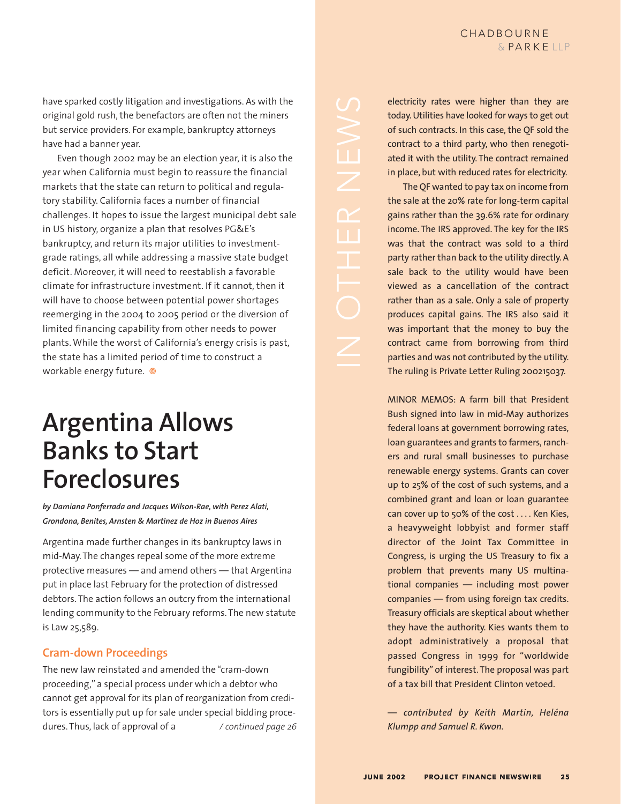have sparked costly litigation and investigations. As with the original gold rush, the benefactors are often not the miners but service providers. For example, bankruptcy attorneys have had a banner year.

Even though 2002 may be an election year, it is also the year when California must begin to reassure the financial markets that the state can return to political and regulatory stability. California faces a number of financial challenges. It hopes to issue the largest municipal debt sale in US history, organize a plan that resolves PG&E's bankruptcy, and return its major utilities to investmentgrade ratings, all while addressing a massive state budget deficit. Moreover, it will need to reestablish a favorable climate for infrastructure investment. If it cannot, then it will have to choose between potential power shortages reemerging in the 2004 to 2005 period or the diversion of limited financing capability from other needs to power plants. While the worst of California's energy crisis is past, the state has a limited period of time to construct a workable energy future.

# **Argentina Allows Banks to Start Foreclosures**

*by Damiana Ponferrada and Jacques Wilson-Rae, with Perez Alati, Grondona, Benites, Arnsten & Martinez de Hoz in Buenos Aires*

Argentina made further changes in its bankruptcy laws in mid-May. The changes repeal some of the more extreme protective measures — and amend others — that Argentina put in place last February for the protection of distressed debtors. The action follows an outcry from the international lending community to the February reforms. The new statute is Law 25,589.

## **Cram-down Proceedings**

The new law reinstated and amended the "cram-down proceeding," a special process under which a debtor who cannot get approval for its plan of reorganization from creditors is essentially put up for sale under special bidding procedures. Thus, lack of approval of a */ continued page 26*

electricity rates were higher than they are today. Utilities have looked for ways to get out of such contracts. In this case, the QF sold the contract to a third party, who then renegotiated it with the utility. The contract remained in place, but with reduced rates for electricity.

The QF wanted to pay tax on income from the sale at the 20% rate for long-term capital gains rather than the 39.6% rate for ordinary income. The IRS approved. The key for the IRS was that the contract was sold to a third party rather than back to the utility directly. A sale back to the utility would have been viewed as a cancellation of the contract rather than as a sale. Only a sale of property produces capital gains. The IRS also said it was important that the money to buy the contract came from borrowing from third parties and was not contributed by the utility. The ruling is Private Letter Ruling 200215037.

MINOR MEMOS: A farm bill that President Bush signed into law in mid-May authorizes federal loans at government borrowing rates, loan guarantees and grants to farmers, ranchers and rural small businesses to purchase renewable energy systems. Grants can cover up to 25% of the cost of such systems, and a combined grant and loan or loan guarantee can cover up to 50% of the cost . . . . Ken Kies, a heavyweight lobbyist and former staff director of the Joint Tax Committee in Congress, is urging the US Treasury to fix a problem that prevents many US multinational companies — including most power companies — from using foreign tax credits. Treasury officials are skeptical about whether they have the authority. Kies wants them to adopt administratively a proposal that passed Congress in 1999 for "worldwide fungibility" of interest. The proposal was part of a tax bill that President Clinton vetoed.

*— contributed by Keith Martin, Heléna Klumpp and Samuel R. Kwon.*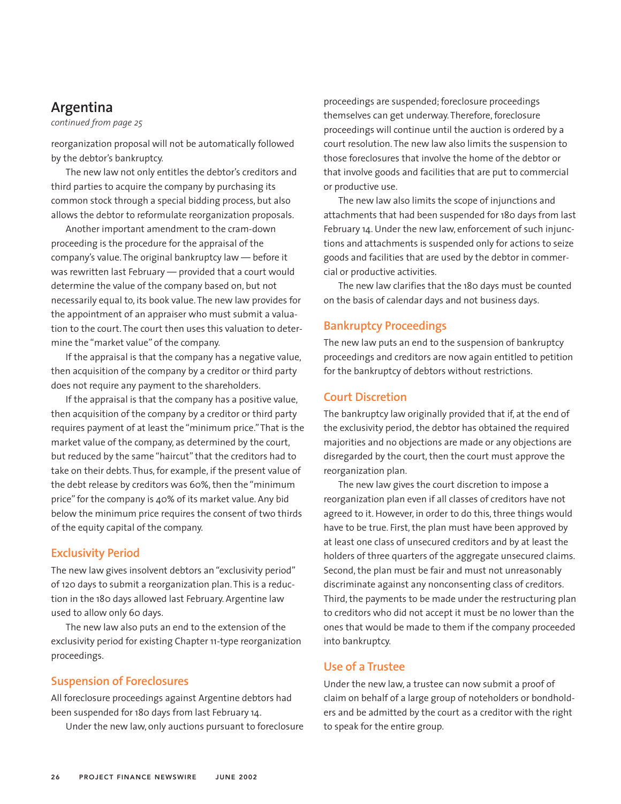## **Argentina**

*continued from page 25*

reorganization proposal will not be automatically followed by the debtor's bankruptcy.

The new law not only entitles the debtor's creditors and third parties to acquire the company by purchasing its common stock through a special bidding process, but also allows the debtor to reformulate reorganization proposals.

Another important amendment to the cram-down proceeding is the procedure for the appraisal of the company's value. The original bankruptcy law — before it was rewritten last February — provided that a court would determine the value of the company based on, but not necessarily equal to, its book value. The new law provides for the appointment of an appraiser who must submit a valuation to the court. The court then uses this valuation to determine the "market value" of the company.

If the appraisal is that the company has a negative value, then acquisition of the company by a creditor or third party does not require any payment to the shareholders.

If the appraisal is that the company has a positive value, then acquisition of the company by a creditor or third party requires payment of at least the "minimum price."That is the market value of the company, as determined by the court, but reduced by the same "haircut" that the creditors had to take on their debts. Thus, for example, if the present value of the debt release by creditors was 60%, then the "minimum price" for the company is 40% of its market value. Any bid below the minimum price requires the consent of two thirds of the equity capital of the company.

#### **Exclusivity Period**

The new law gives insolvent debtors an "exclusivity period" of 120 days to submit a reorganization plan. This is a reduction in the 180 days allowed last February. Argentine law used to allow only 60 days.

The new law also puts an end to the extension of the exclusivity period for existing Chapter 11-type reorganization proceedings.

### **Suspension of Foreclosures**

All foreclosure proceedings against Argentine debtors had been suspended for 180 days from last February 14.

Under the new law, only auctions pursuant to foreclosure

proceedings are suspended; foreclosure proceedings themselves can get underway. Therefore, foreclosure proceedings will continue until the auction is ordered by a court resolution. The new law also limits the suspension to those foreclosures that involve the home of the debtor or that involve goods and facilities that are put to commercial or productive use.

The new law also limits the scope of injunctions and attachments that had been suspended for 180 days from last February 14. Under the new law, enforcement of such injunctions and attachments is suspended only for actions to seize goods and facilities that are used by the debtor in commercial or productive activities.

The new law clarifies that the 180 days must be counted on the basis of calendar days and not business days.

#### **Bankruptcy Proceedings**

The new law puts an end to the suspension of bankruptcy proceedings and creditors are now again entitled to petition for the bankruptcy of debtors without restrictions.

#### **Court Discretion**

The bankruptcy law originally provided that if, at the end of the exclusivity period, the debtor has obtained the required majorities and no objections are made or any objections are disregarded by the court, then the court must approve the reorganization plan.

The new law gives the court discretion to impose a reorganization plan even if all classes of creditors have not agreed to it. However, in order to do this, three things would have to be true. First, the plan must have been approved by at least one class of unsecured creditors and by at least the holders of three quarters of the aggregate unsecured claims. Second, the plan must be fair and must not unreasonably discriminate against any nonconsenting class of creditors. Third, the payments to be made under the restructuring plan to creditors who did not accept it must be no lower than the ones that would be made to them if the company proceeded into bankruptcy.

### **Use of a Trustee**

Under the new law, a trustee can now submit a proof of claim on behalf of a large group of noteholders or bondholders and be admitted by the court as a creditor with the right to speak for the entire group.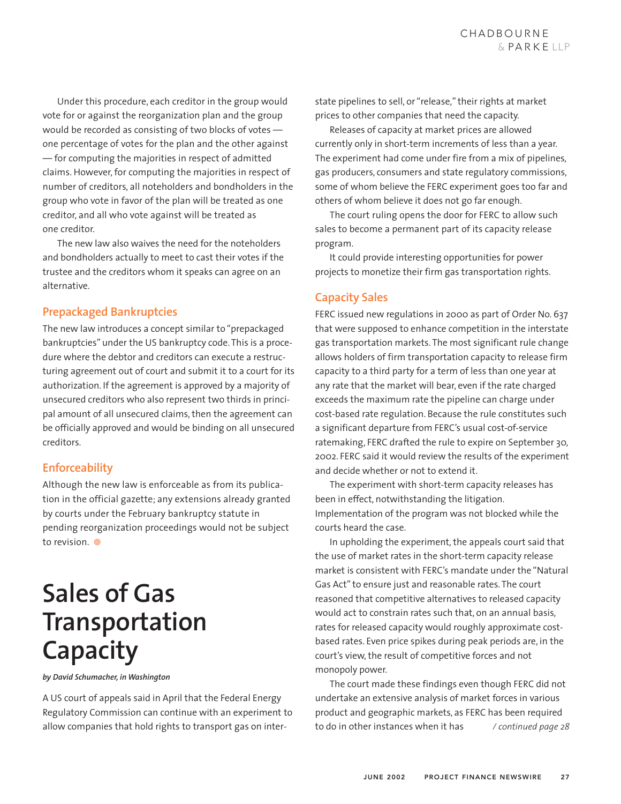Under this procedure, each creditor in the group would vote for or against the reorganization plan and the group would be recorded as consisting of two blocks of votes one percentage of votes for the plan and the other against — for computing the majorities in respect of admitted claims. However, for computing the majorities in respect of number of creditors, all noteholders and bondholders in the group who vote in favor of the plan will be treated as one creditor, and all who vote against will be treated as one creditor.

The new law also waives the need for the noteholders and bondholders actually to meet to cast their votes if the trustee and the creditors whom it speaks can agree on an alternative.

### **Prepackaged Bankruptcies**

The new law introduces a concept similar to "prepackaged bankruptcies" under the US bankruptcy code. This is a procedure where the debtor and creditors can execute a restructuring agreement out of court and submit it to a court for its authorization. If the agreement is approved by a majority of unsecured creditors who also represent two thirds in principal amount of all unsecured claims, then the agreement can be officially approved and would be binding on all unsecured creditors.

## **Enforceability**

Although the new law is enforceable as from its publication in the official gazette; any extensions already granted by courts under the February bankruptcy statute in pending reorganization proceedings would not be subject to revision.  $\circ$ 

# **Sales of Gas Transportation Capacity**

*by David Schumacher, in Washington*

A US court of appeals said in April that the Federal Energy Regulatory Commission can continue with an experiment to allow companies that hold rights to transport gas on interstate pipelines to sell, or "release," their rights at market prices to other companies that need the capacity.

Releases of capacity at market prices are allowed currently only in short-term increments of less than a year. The experiment had come under fire from a mix of pipelines, gas producers, consumers and state regulatory commissions, some of whom believe the FERC experiment goes too far and others of whom believe it does not go far enough.

The court ruling opens the door for FERC to allow such sales to become a permanent part of its capacity release program.

It could provide interesting opportunities for power projects to monetize their firm gas transportation rights.

## **Capacity Sales**

FERC issued new regulations in 2000 as part of Order No. 637 that were supposed to enhance competition in the interstate gas transportation markets. The most significant rule change allows holders of firm transportation capacity to release firm capacity to a third party for a term of less than one year at any rate that the market will bear, even if the rate charged exceeds the maximum rate the pipeline can charge under cost-based rate regulation. Because the rule constitutes such a significant departure from FERC's usual cost-of-service ratemaking, FERC drafted the rule to expire on September 30, 2002. FERC said it would review the results of the experiment and decide whether or not to extend it.

The experiment with short-term capacity releases has been in effect, notwithstanding the litigation. Implementation of the program was not blocked while the courts heard the case.

In upholding the experiment, the appeals court said that the use of market rates in the short-term capacity release market is consistent with FERC's mandate under the "Natural Gas Act" to ensure just and reasonable rates. The court reasoned that competitive alternatives to released capacity would act to constrain rates such that, on an annual basis, rates for released capacity would roughly approximate costbased rates. Even price spikes during peak periods are, in the court's view, the result of competitive forces and not monopoly power.

The court made these findings even though FERC did not undertake an extensive analysis of market forces in various product and geographic markets, as FERC has been required to do in other instances when it has */ continued page 28*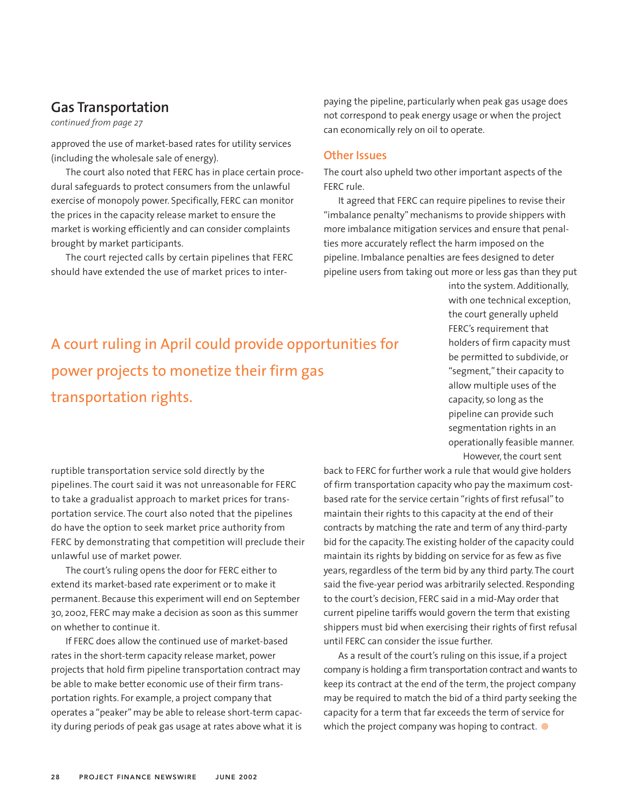# **Gas Transportation**

*continued from page 27*

approved the use of market-based rates for utility services (including the wholesale sale of energy).

The court also noted that FERC has in place certain procedural safeguards to protect consumers from the unlawful exercise of monopoly power. Specifically, FERC can monitor the prices in the capacity release market to ensure the market is working efficiently and can consider complaints brought by market participants.

The court rejected calls by certain pipelines that FERC should have extended the use of market prices to interpaying the pipeline, particularly when peak gas usage does not correspond to peak energy usage or when the project can economically rely on oil to operate.

#### **Other Issues**

The court also upheld two other important aspects of the FERC rule.

It agreed that FERC can require pipelines to revise their "imbalance penalty" mechanisms to provide shippers with more imbalance mitigation services and ensure that penalties more accurately reflect the harm imposed on the pipeline. Imbalance penalties are fees designed to deter pipeline users from taking out more or less gas than they put

A court ruling in April could provide opportunities for power projects to monetize their firm gas transportation rights.

into the system. Additionally, with one technical exception, the court generally upheld FERC's requirement that holders of firm capacity must be permitted to subdivide, or "segment," their capacity to allow multiple uses of the capacity, so long as the pipeline can provide such segmentation rights in an operationally feasible manner. However, the court sent

ruptible transportation service sold directly by the pipelines. The court said it was not unreasonable for FERC to take a gradualist approach to market prices for transportation service. The court also noted that the pipelines do have the option to seek market price authority from FERC by demonstrating that competition will preclude their unlawful use of market power.

The court's ruling opens the door for FERC either to extend its market-based rate experiment or to make it permanent. Because this experiment will end on September 30, 2002, FERC may make a decision as soon as this summer on whether to continue it.

If FERC does allow the continued use of market-based rates in the short-term capacity release market, power projects that hold firm pipeline transportation contract may be able to make better economic use of their firm transportation rights. For example, a project company that operates a "peaker" may be able to release short-term capacity during periods of peak gas usage at rates above what it is back to FERC for further work a rule that would give holders of firm transportation capacity who pay the maximum costbased rate for the service certain "rights of first refusal" to maintain their rights to this capacity at the end of their contracts by matching the rate and term of any third-party bid for the capacity. The existing holder of the capacity could maintain its rights by bidding on service for as few as five years, regardless of the term bid by any third party. The court said the five-year period was arbitrarily selected. Responding to the court's decision, FERC said in a mid-May order that current pipeline tariffs would govern the term that existing shippers must bid when exercising their rights of first refusal until FERC can consider the issue further.

As a result of the court's ruling on this issue, if a project company is holding a firm transportation contract and wants to keep its contract at the end of the term, the project company may be required to match the bid of a third party seeking the capacity for a term that far exceeds the term of service for which the project company was hoping to contract.  $\circledcirc$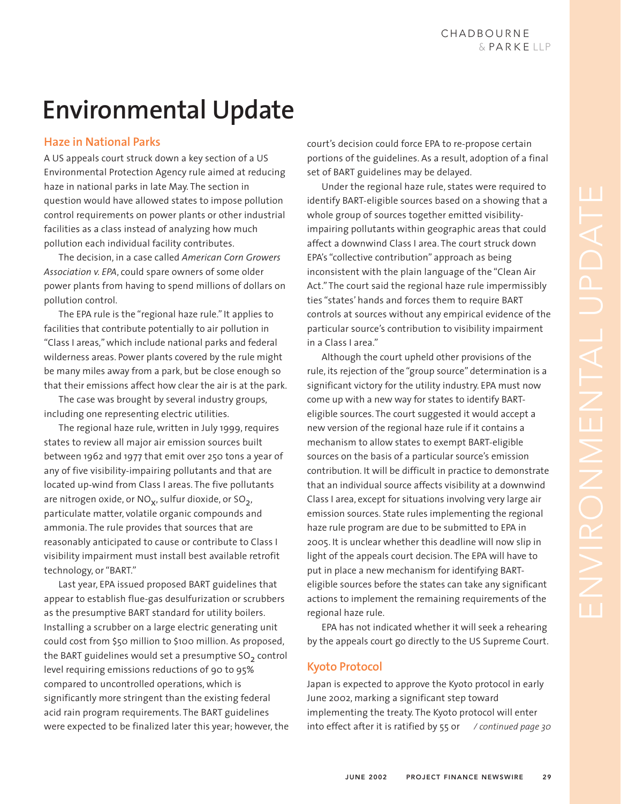# **Environmental Update**

## **Haze in National Parks**

A US appeals court struck down a key section of a US Environmental Protection Agency rule aimed at reducing haze in national parks in late May. The section in question would have allowed states to impose pollution control requirements on power plants or other industrial facilities as a class instead of analyzing how much pollution each individual facility contributes.

The decision, in a case called *American Corn Growers Association v. EPA*, could spare owners of some older power plants from having to spend millions of dollars on pollution control.

The EPA rule is the "regional haze rule." It applies to facilities that contribute potentially to air pollution in "Class I areas," which include national parks and federal wilderness areas. Power plants covered by the rule might be many miles away from a park, but be close enough so that their emissions affect how clear the air is at the park.

The case was brought by several industry groups, including one representing electric utilities.

The regional haze rule, written in July 1999, requires states to review all major air emission sources built between 1962 and 1977 that emit over 250 tons a year of any of five visibility-impairing pollutants and that are located up-wind from Class I areas. The five pollutants are nitrogen oxide, or  $NO<sub>x</sub>$ , sulfur dioxide, or  $SO<sub>2</sub>$ , particulate matter, volatile organic compounds and ammonia. The rule provides that sources that are reasonably anticipated to cause or contribute to Class I visibility impairment must install best available retrofit technology, or "BART."

Last year, EPA issued proposed BART guidelines that appear to establish flue-gas desulfurization or scrubbers as the presumptive BART standard for utility boilers. Installing a scrubber on a large electric generating unit could cost from \$50 million to \$100 million. As proposed, the BART guidelines would set a presumptive  $SO<sub>2</sub>$  control level requiring emissions reductions of 90 to 95% compared to uncontrolled operations, which is significantly more stringent than the existing federal acid rain program requirements. The BART guidelines were expected to be finalized later this year; however, the

court's decision could force EPA to re-propose certain portions of the guidelines. As a result, adoption of a final set of BART guidelines may be delayed.

Under the regional haze rule, states were required to identify BART-eligible sources based on a showing that a whole group of sources together emitted visibilityimpairing pollutants within geographic areas that could affect a downwind Class I area. The court struck down EPA's "collective contribution" approach as being inconsistent with the plain language of the "Clean Air Act." The court said the regional haze rule impermissibly ties "states' hands and forces them to require BART controls at sources without any empirical evidence of the particular source's contribution to visibility impairment in a Class I area."

Although the court upheld other provisions of the rule, its rejection of the "group source" determination is a significant victory for the utility industry. EPA must now come up with a new way for states to identify BARTeligible sources. The court suggested it would accept a new version of the regional haze rule if it contains a mechanism to allow states to exempt BART-eligible sources on the basis of a particular source's emission contribution. It will be difficult in practice to demonstrate that an individual source affects visibility at a downwind Class I area, except for situations involving very large air emission sources. State rules implementing the regional haze rule program are due to be submitted to EPA in 2005. It is unclear whether this deadline will now slip in light of the appeals court decision. The EPA will have to put in place a new mechanism for identifying BARTeligible sources before the states can take any significant actions to implement the remaining requirements of the regional haze rule.

EPA has not indicated whether it will seek a rehearing by the appeals court go directly to the US Supreme Court.

## **Kyoto Protocol**

Japan is expected to approve the Kyoto protocol in early June 2002, marking a significant step toward implementing the treaty. The Kyoto protocol will enter into effect after it is ratified by 55 or */ continued page 30*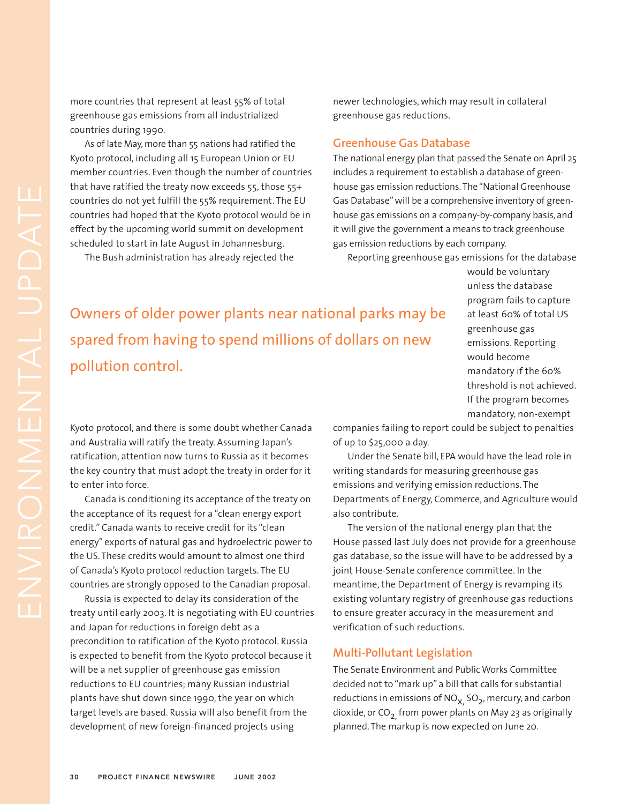more countries that represent at least 55% of total greenhouse gas emissions from all industrialized countries during 1990.

As of late May, more than 55 nations had ratified the Kyoto protocol, including all 15 European Union or EU member countries. Even though the number of countries that have ratified the treaty now exceeds 55, those 55+ countries do not yet fulfill the 55% requirement. The EU countries had hoped that the Kyoto protocol would be in effect by the upcoming world summit on development scheduled to start in late August in Johannesburg.

The Bush administration has already rejected the

newer technologies, which may result in collateral greenhouse gas reductions.

#### **Greenhouse Gas Database**

The national energy plan that passed the Senate on April 25 includes a requirement to establish a database of greenhouse gas emission reductions. The "National Greenhouse Gas Database" will be a comprehensive inventory of greenhouse gas emissions on a company-by-company basis, and it will give the government a means to track greenhouse gas emission reductions by each company.

Reporting greenhouse gas emissions for the database

Owners of older power plants near national parks may be spared from having to spend millions of dollars on new pollution control.

would be voluntary unless the database program fails to capture at least 60% of total US greenhouse gas emissions. Reporting would become mandatory if the 60% threshold is not achieved. If the program becomes mandatory, non-exempt

Kyoto protocol, and there is some doubt whether Canada and Australia will ratify the treaty. Assuming Japan's ratification, attention now turns to Russia as it becomes the key country that must adopt the treaty in order for it to enter into force.

Canada is conditioning its acceptance of the treaty on the acceptance of its request for a "clean energy export credit." Canada wants to receive credit for its "clean energy" exports of natural gas and hydroelectric power to the US. These credits would amount to almost one third of Canada's Kyoto protocol reduction targets. The EU countries are strongly opposed to the Canadian proposal.

Russia is expected to delay its consideration of the treaty until early 2003. It is negotiating with EU countries and Japan for reductions in foreign debt as a precondition to ratification of the Kyoto protocol. Russia is expected to benefit from the Kyoto protocol because it will be a net supplier of greenhouse gas emission reductions to EU countries; many Russian industrial plants have shut down since 1990, the year on which target levels are based. Russia will also benefit from the development of new foreign-financed projects using

companies failing to report could be subject to penalties of up to \$25,000 a day.

Under the Senate bill, EPA would have the lead role in writing standards for measuring greenhouse gas emissions and verifying emission reductions. The Departments of Energy, Commerce, and Agriculture would also contribute.

The version of the national energy plan that the House passed last July does not provide for a greenhouse gas database, so the issue will have to be addressed by a joint House-Senate conference committee. In the meantime, the Department of Energy is revamping its existing voluntary registry of greenhouse gas reductions to ensure greater accuracy in the measurement and verification of such reductions.

#### **Multi-Pollutant Legislation**

The Senate Environment and Public Works Committee decided not to "mark up" a bill that calls for substantial reductions in emissions of  $NO<sub>X</sub>$ , SO<sub>2</sub>, mercury, and carbon dioxide, or  $CO<sub>2</sub>$  from power plants on May 23 as originally planned. The markup is now expected on June 20.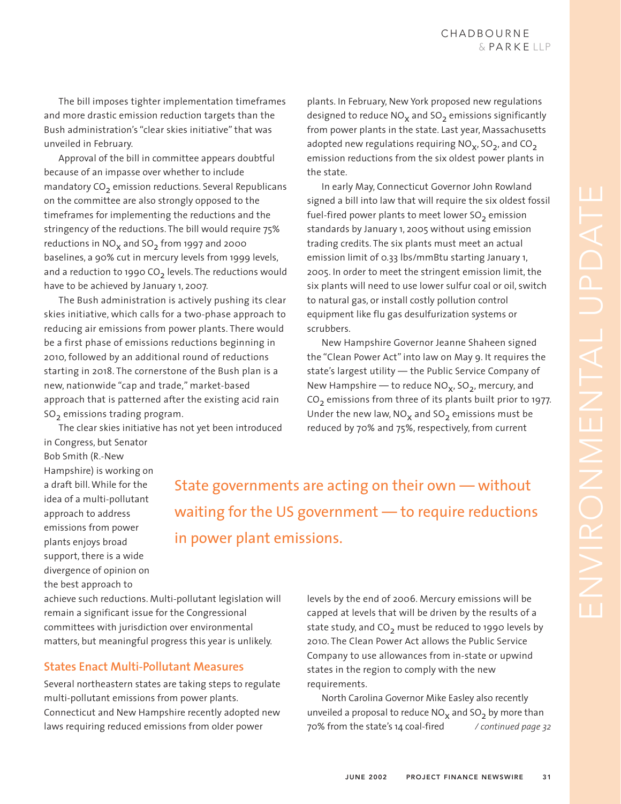The bill imposes tighter implementation timeframes and more drastic emission reduction targets than the Bush administration's "clear skies initiative" that was unveiled in February.

Approval of the bill in committee appears doubtful because of an impasse over whether to include mandatory  $CO<sub>2</sub>$  emission reductions. Several Republicans on the committee are also strongly opposed to the timeframes for implementing the reductions and the stringency of the reductions. The bill would require 75% reductions in  $NO<sub>x</sub>$  and  $SO<sub>2</sub>$  from 1997 and 2000 baselines, a 90% cut in mercury levels from 1999 levels, and a reduction to 1990 CO<sub>2</sub> levels. The reductions would have to be achieved by January 1, 2007.

The Bush administration is actively pushing its clear skies initiative, which calls for a two-phase approach to reducing air emissions from power plants. There would be a first phase of emissions reductions beginning in 2010, followed by an additional round of reductions starting in 2018. The cornerstone of the Bush plan is a new, nationwide "cap and trade," market-based approach that is patterned after the existing acid rain  $SO<sub>2</sub>$  emissions trading program.

The clear skies initiative has not yet been introduced in Congress, but Senator

plants. In February, New York proposed new regulations designed to reduce  $NO<sub>x</sub>$  and  $SO<sub>2</sub>$  emissions significantly from power plants in the state. Last year, Massachusetts adopted new regulations requiring  $NO<sub>x</sub>$ , SO<sub>2</sub>, and CO<sub>2</sub> emission reductions from the six oldest power plants in the state.

In early May, Connecticut Governor John Rowland signed a bill into law that will require the six oldest fossil fuel-fired power plants to meet lower  $SO<sub>2</sub>$  emission standards by January 1, 2005 without using emission trading credits. The six plants must meet an actual emission limit of 0.33 lbs/mmBtu starting January 1, 2005. In order to meet the stringent emission limit, the six plants will need to use lower sulfur coal or oil, switch to natural gas, or install costly pollution control equipment like flu gas desulfurization systems or scrubbers.

New Hampshire Governor Jeanne Shaheen signed the "Clean Power Act" into law on May 9. It requires the state's largest utility — the Public Service Company of New Hampshire — to reduce  $NO_x$ ,  $SO_2$ , mercury, and  $CO<sub>2</sub>$  emissions from three of its plants built prior to 1977. Under the new law,  $NO_x$  and  $SO_2$  emissions must be reduced by 70% and 75%, respectively, from current

Bob Smith (R.-New Hampshire) is working on a draft bill. While for the idea of a multi-pollutant approach to address emissions from power plants enjoys broad support, there is a wide divergence of opinion on the best approach to

State governments are acting on their own — without waiting for the US government — to require reductions in power plant emissions.

achieve such reductions. Multi-pollutant legislation will remain a significant issue for the Congressional committees with jurisdiction over environmental matters, but meaningful progress this year is unlikely.

### **States Enact Multi-Pollutant Measures**

Several northeastern states are taking steps to regulate multi-pollutant emissions from power plants. Connecticut and New Hampshire recently adopted new laws requiring reduced emissions from older power

levels by the end of 2006. Mercury emissions will be capped at levels that will be driven by the results of a state study, and  $CO<sub>2</sub>$  must be reduced to 1990 levels by 2010. The Clean Power Act allows the Public Service Company to use allowances from in-state or upwind states in the region to comply with the new requirements.

North Carolina Governor Mike Easley also recently unveiled a proposal to reduce  $NO<sub>x</sub>$  and  $SO<sub>2</sub>$  by more than 70% from the state's 14 coal-fired */ continued page 32*